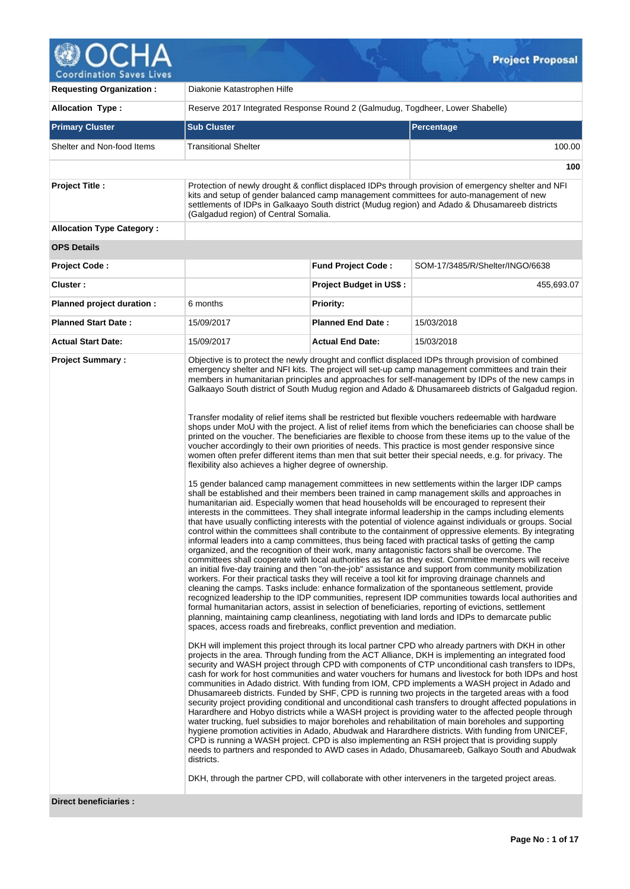

| <b>Allocation Type:</b>          | Reserve 2017 Integrated Response Round 2 (Galmudug, Togdheer, Lower Shabelle)                                                                    |                                |                                                                                                                                                                                                                                                                                                                                                                                                                                                                                                                                                                                                                                                                                                                                                                                                                                                                                                                                                                                                                                                                                                                                                                                                                                                                                                                                                                                                                                                                                                                                                                                                                                                                                                                                                                                                                                                                                                                                                                                                                                                                                                                                                                                                                                                                                                                                                                                                                                                                                                                                                                                                                                                                                                                                                                                                                                                                                                                                                                                                                                                                                                                                                                                                                                                                                                                                                                                                                                                                                                                                                                                                                                                                                                                                                                                                                                                                                                                                                                        |  |  |  |  |  |  |  |
|----------------------------------|--------------------------------------------------------------------------------------------------------------------------------------------------|--------------------------------|------------------------------------------------------------------------------------------------------------------------------------------------------------------------------------------------------------------------------------------------------------------------------------------------------------------------------------------------------------------------------------------------------------------------------------------------------------------------------------------------------------------------------------------------------------------------------------------------------------------------------------------------------------------------------------------------------------------------------------------------------------------------------------------------------------------------------------------------------------------------------------------------------------------------------------------------------------------------------------------------------------------------------------------------------------------------------------------------------------------------------------------------------------------------------------------------------------------------------------------------------------------------------------------------------------------------------------------------------------------------------------------------------------------------------------------------------------------------------------------------------------------------------------------------------------------------------------------------------------------------------------------------------------------------------------------------------------------------------------------------------------------------------------------------------------------------------------------------------------------------------------------------------------------------------------------------------------------------------------------------------------------------------------------------------------------------------------------------------------------------------------------------------------------------------------------------------------------------------------------------------------------------------------------------------------------------------------------------------------------------------------------------------------------------------------------------------------------------------------------------------------------------------------------------------------------------------------------------------------------------------------------------------------------------------------------------------------------------------------------------------------------------------------------------------------------------------------------------------------------------------------------------------------------------------------------------------------------------------------------------------------------------------------------------------------------------------------------------------------------------------------------------------------------------------------------------------------------------------------------------------------------------------------------------------------------------------------------------------------------------------------------------------------------------------------------------------------------------------------------------------------------------------------------------------------------------------------------------------------------------------------------------------------------------------------------------------------------------------------------------------------------------------------------------------------------------------------------------------------------------------------------------------------------------------------------------------------------------|--|--|--|--|--|--|--|
| <b>Primary Cluster</b>           | <b>Sub Cluster</b>                                                                                                                               |                                | Percentage                                                                                                                                                                                                                                                                                                                                                                                                                                                                                                                                                                                                                                                                                                                                                                                                                                                                                                                                                                                                                                                                                                                                                                                                                                                                                                                                                                                                                                                                                                                                                                                                                                                                                                                                                                                                                                                                                                                                                                                                                                                                                                                                                                                                                                                                                                                                                                                                                                                                                                                                                                                                                                                                                                                                                                                                                                                                                                                                                                                                                                                                                                                                                                                                                                                                                                                                                                                                                                                                                                                                                                                                                                                                                                                                                                                                                                                                                                                                                             |  |  |  |  |  |  |  |
| Shelter and Non-food Items       | Transitional Shelter                                                                                                                             |                                | 100.00                                                                                                                                                                                                                                                                                                                                                                                                                                                                                                                                                                                                                                                                                                                                                                                                                                                                                                                                                                                                                                                                                                                                                                                                                                                                                                                                                                                                                                                                                                                                                                                                                                                                                                                                                                                                                                                                                                                                                                                                                                                                                                                                                                                                                                                                                                                                                                                                                                                                                                                                                                                                                                                                                                                                                                                                                                                                                                                                                                                                                                                                                                                                                                                                                                                                                                                                                                                                                                                                                                                                                                                                                                                                                                                                                                                                                                                                                                                                                                 |  |  |  |  |  |  |  |
|                                  |                                                                                                                                                  |                                | 100                                                                                                                                                                                                                                                                                                                                                                                                                                                                                                                                                                                                                                                                                                                                                                                                                                                                                                                                                                                                                                                                                                                                                                                                                                                                                                                                                                                                                                                                                                                                                                                                                                                                                                                                                                                                                                                                                                                                                                                                                                                                                                                                                                                                                                                                                                                                                                                                                                                                                                                                                                                                                                                                                                                                                                                                                                                                                                                                                                                                                                                                                                                                                                                                                                                                                                                                                                                                                                                                                                                                                                                                                                                                                                                                                                                                                                                                                                                                                                    |  |  |  |  |  |  |  |
| <b>Project Title:</b>            | (Galgadud region) of Central Somalia.                                                                                                            |                                | Protection of newly drought & conflict displaced IDPs through provision of emergency shelter and NFI<br>kits and setup of gender balanced camp management committees for auto-management of new<br>settlements of IDPs in Galkaayo South district (Mudug region) and Adado & Dhusamareeb districts                                                                                                                                                                                                                                                                                                                                                                                                                                                                                                                                                                                                                                                                                                                                                                                                                                                                                                                                                                                                                                                                                                                                                                                                                                                                                                                                                                                                                                                                                                                                                                                                                                                                                                                                                                                                                                                                                                                                                                                                                                                                                                                                                                                                                                                                                                                                                                                                                                                                                                                                                                                                                                                                                                                                                                                                                                                                                                                                                                                                                                                                                                                                                                                                                                                                                                                                                                                                                                                                                                                                                                                                                                                                     |  |  |  |  |  |  |  |
| <b>Allocation Type Category:</b> |                                                                                                                                                  |                                |                                                                                                                                                                                                                                                                                                                                                                                                                                                                                                                                                                                                                                                                                                                                                                                                                                                                                                                                                                                                                                                                                                                                                                                                                                                                                                                                                                                                                                                                                                                                                                                                                                                                                                                                                                                                                                                                                                                                                                                                                                                                                                                                                                                                                                                                                                                                                                                                                                                                                                                                                                                                                                                                                                                                                                                                                                                                                                                                                                                                                                                                                                                                                                                                                                                                                                                                                                                                                                                                                                                                                                                                                                                                                                                                                                                                                                                                                                                                                                        |  |  |  |  |  |  |  |
| <b>OPS Details</b>               |                                                                                                                                                  |                                |                                                                                                                                                                                                                                                                                                                                                                                                                                                                                                                                                                                                                                                                                                                                                                                                                                                                                                                                                                                                                                                                                                                                                                                                                                                                                                                                                                                                                                                                                                                                                                                                                                                                                                                                                                                                                                                                                                                                                                                                                                                                                                                                                                                                                                                                                                                                                                                                                                                                                                                                                                                                                                                                                                                                                                                                                                                                                                                                                                                                                                                                                                                                                                                                                                                                                                                                                                                                                                                                                                                                                                                                                                                                                                                                                                                                                                                                                                                                                                        |  |  |  |  |  |  |  |
| Project Code:                    |                                                                                                                                                  | <b>Fund Project Code:</b>      | SOM-17/3485/R/Shelter/INGO/6638                                                                                                                                                                                                                                                                                                                                                                                                                                                                                                                                                                                                                                                                                                                                                                                                                                                                                                                                                                                                                                                                                                                                                                                                                                                                                                                                                                                                                                                                                                                                                                                                                                                                                                                                                                                                                                                                                                                                                                                                                                                                                                                                                                                                                                                                                                                                                                                                                                                                                                                                                                                                                                                                                                                                                                                                                                                                                                                                                                                                                                                                                                                                                                                                                                                                                                                                                                                                                                                                                                                                                                                                                                                                                                                                                                                                                                                                                                                                        |  |  |  |  |  |  |  |
| Cluster:                         |                                                                                                                                                  | <b>Project Budget in US\$:</b> | 455,693.07                                                                                                                                                                                                                                                                                                                                                                                                                                                                                                                                                                                                                                                                                                                                                                                                                                                                                                                                                                                                                                                                                                                                                                                                                                                                                                                                                                                                                                                                                                                                                                                                                                                                                                                                                                                                                                                                                                                                                                                                                                                                                                                                                                                                                                                                                                                                                                                                                                                                                                                                                                                                                                                                                                                                                                                                                                                                                                                                                                                                                                                                                                                                                                                                                                                                                                                                                                                                                                                                                                                                                                                                                                                                                                                                                                                                                                                                                                                                                             |  |  |  |  |  |  |  |
| Planned project duration :       | 6 months                                                                                                                                         | <b>Priority:</b>               |                                                                                                                                                                                                                                                                                                                                                                                                                                                                                                                                                                                                                                                                                                                                                                                                                                                                                                                                                                                                                                                                                                                                                                                                                                                                                                                                                                                                                                                                                                                                                                                                                                                                                                                                                                                                                                                                                                                                                                                                                                                                                                                                                                                                                                                                                                                                                                                                                                                                                                                                                                                                                                                                                                                                                                                                                                                                                                                                                                                                                                                                                                                                                                                                                                                                                                                                                                                                                                                                                                                                                                                                                                                                                                                                                                                                                                                                                                                                                                        |  |  |  |  |  |  |  |
| <b>Planned Start Date:</b>       | 15/09/2017                                                                                                                                       | <b>Planned End Date:</b>       | 15/03/2018                                                                                                                                                                                                                                                                                                                                                                                                                                                                                                                                                                                                                                                                                                                                                                                                                                                                                                                                                                                                                                                                                                                                                                                                                                                                                                                                                                                                                                                                                                                                                                                                                                                                                                                                                                                                                                                                                                                                                                                                                                                                                                                                                                                                                                                                                                                                                                                                                                                                                                                                                                                                                                                                                                                                                                                                                                                                                                                                                                                                                                                                                                                                                                                                                                                                                                                                                                                                                                                                                                                                                                                                                                                                                                                                                                                                                                                                                                                                                             |  |  |  |  |  |  |  |
| <b>Actual Start Date:</b>        | 15/09/2017                                                                                                                                       | <b>Actual End Date:</b>        | 15/03/2018                                                                                                                                                                                                                                                                                                                                                                                                                                                                                                                                                                                                                                                                                                                                                                                                                                                                                                                                                                                                                                                                                                                                                                                                                                                                                                                                                                                                                                                                                                                                                                                                                                                                                                                                                                                                                                                                                                                                                                                                                                                                                                                                                                                                                                                                                                                                                                                                                                                                                                                                                                                                                                                                                                                                                                                                                                                                                                                                                                                                                                                                                                                                                                                                                                                                                                                                                                                                                                                                                                                                                                                                                                                                                                                                                                                                                                                                                                                                                             |  |  |  |  |  |  |  |
| <b>Project Summary:</b>          | flexibility also achieves a higher degree of ownership.<br>spaces, access roads and firebreaks, conflict prevention and mediation.<br>districts. |                                | Objective is to protect the newly drought and conflict displaced IDPs through provision of combined<br>emergency shelter and NFI kits. The project will set-up camp management committees and train their<br>members in humanitarian principles and approaches for self-management by IDPs of the new camps in<br>Galkaayo South district of South Mudug region and Adado & Dhusamareeb districts of Galgadud region.<br>Transfer modality of relief items shall be restricted but flexible vouchers redeemable with hardware<br>shops under MoU with the project. A list of relief items from which the beneficiaries can choose shall be<br>printed on the voucher. The beneficiaries are flexible to choose from these items up to the value of the<br>voucher accordingly to their own priorities of needs. This practice is most gender responsive since<br>women often prefer different items than men that suit better their special needs, e.g. for privacy. The<br>15 gender balanced camp management committees in new settlements within the larger IDP camps<br>shall be established and their members been trained in camp management skills and approaches in<br>humanitarian aid. Especially women that head households will be encouraged to represent their<br>interests in the committees. They shall integrate informal leadership in the camps including elements<br>that have usually conflicting interests with the potential of violence against individuals or groups. Social<br>control within the committees shall contribute to the containment of oppressive elements. By integrating<br>informal leaders into a camp committees, thus being faced with practical tasks of getting the camp<br>organized, and the recognition of their work, many antagonistic factors shall be overcome. The<br>committees shall cooperate with local authorities as far as they exist. Committee members will receive<br>an initial five-day training and then "on-the-job" assistance and support from community mobilization<br>workers. For their practical tasks they will receive a tool kit for improving drainage channels and<br>cleaning the camps. Tasks include: enhance formalization of the spontaneous settlement, provide<br>recognized leadership to the IDP communities, represent IDP communities towards local authorities and<br>formal humanitarian actors, assist in selection of beneficiaries, reporting of evictions, settlement<br>planning, maintaining camp cleanliness, negotiating with land lords and IDPs to demarcate public<br>DKH will implement this project through its local partner CPD who already partners with DKH in other<br>projects in the area. Through funding from the ACT Alliance, DKH is implementing an integrated food<br>security and WASH project through CPD with components of CTP unconditional cash transfers to IDPs,<br>cash for work for host communities and water vouchers for humans and livestock for both IDPs and host<br>communities in Adado district. With funding from IOM, CPD implements a WASH project in Adado and<br>Dhusamareeb districts. Funded by SHF, CPD is running two projects in the targeted areas with a food<br>security project providing conditional and unconditional cash transfers to drought affected populations in<br>Harardhere and Hobyo districts while a WASH project is providing water to the affected people through<br>water trucking, fuel subsidies to major boreholes and rehabilitation of main boreholes and supporting<br>hygiene promotion activities in Adado, Abudwak and Harardhere districts. With funding from UNICEF,<br>CPD is running a WASH project. CPD is also implementing an RSH project that is providing supply<br>needs to partners and responded to AWD cases in Adado, Dhusamareeb, Galkayo South and Abudwak<br>DKH, through the partner CPD, will collaborate with other interveners in the targeted project areas. |  |  |  |  |  |  |  |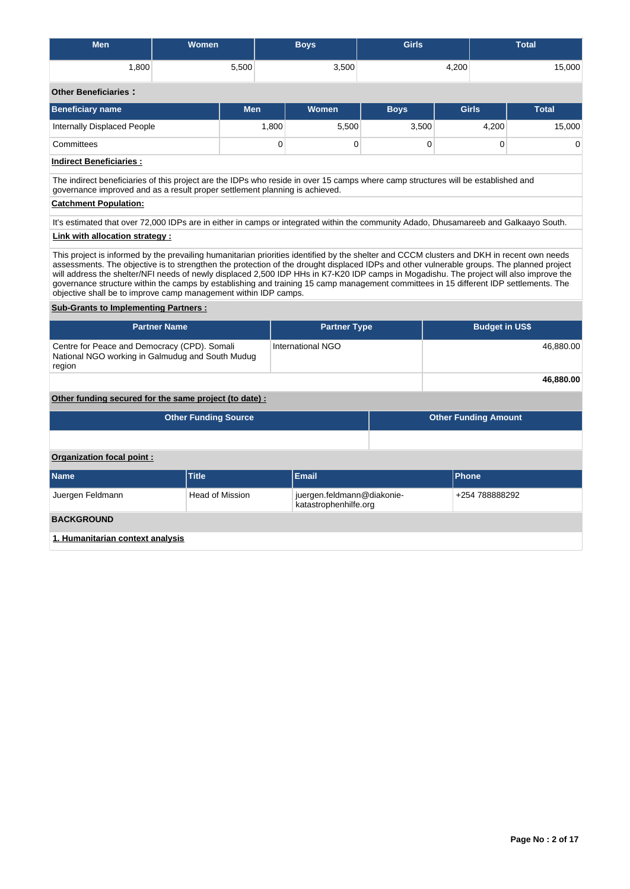| <b>Men</b>                                                                                                                                                                                                                                                                                                                                                                                                                                                                                                                                                                                                                                                                                    | Women                       |                        | <b>Boys</b>                                         | <b>Girls</b> |                             | <b>Total</b> |  |  |  |  |  |
|-----------------------------------------------------------------------------------------------------------------------------------------------------------------------------------------------------------------------------------------------------------------------------------------------------------------------------------------------------------------------------------------------------------------------------------------------------------------------------------------------------------------------------------------------------------------------------------------------------------------------------------------------------------------------------------------------|-----------------------------|------------------------|-----------------------------------------------------|--------------|-----------------------------|--------------|--|--|--|--|--|
| 1,800                                                                                                                                                                                                                                                                                                                                                                                                                                                                                                                                                                                                                                                                                         |                             | 5,500                  | 3,500                                               |              | 4,200                       | 15,000       |  |  |  |  |  |
| <b>Other Beneficiaries:</b>                                                                                                                                                                                                                                                                                                                                                                                                                                                                                                                                                                                                                                                                   |                             |                        |                                                     |              |                             |              |  |  |  |  |  |
| <b>Beneficiary name</b>                                                                                                                                                                                                                                                                                                                                                                                                                                                                                                                                                                                                                                                                       |                             | <b>Men</b>             | <b>Women</b>                                        | <b>Boys</b>  | <b>Girls</b>                | <b>Total</b> |  |  |  |  |  |
| Internally Displaced People                                                                                                                                                                                                                                                                                                                                                                                                                                                                                                                                                                                                                                                                   |                             | 1,800                  | 5,500                                               | 3,500        | 4,200                       | 15,000       |  |  |  |  |  |
| Committees                                                                                                                                                                                                                                                                                                                                                                                                                                                                                                                                                                                                                                                                                    |                             |                        | 0<br>0                                              | $\mathbf 0$  | 0                           | 0            |  |  |  |  |  |
| <b>Indirect Beneficiaries:</b>                                                                                                                                                                                                                                                                                                                                                                                                                                                                                                                                                                                                                                                                |                             |                        |                                                     |              |                             |              |  |  |  |  |  |
| The indirect beneficiaries of this project are the IDPs who reside in over 15 camps where camp structures will be established and<br>governance improved and as a result proper settlement planning is achieved.                                                                                                                                                                                                                                                                                                                                                                                                                                                                              |                             |                        |                                                     |              |                             |              |  |  |  |  |  |
| <b>Catchment Population:</b>                                                                                                                                                                                                                                                                                                                                                                                                                                                                                                                                                                                                                                                                  |                             |                        |                                                     |              |                             |              |  |  |  |  |  |
| It's estimated that over 72,000 IDPs are in either in camps or integrated within the community Adado, Dhusamareeb and Galkaayo South.                                                                                                                                                                                                                                                                                                                                                                                                                                                                                                                                                         |                             |                        |                                                     |              |                             |              |  |  |  |  |  |
| Link with allocation strategy:                                                                                                                                                                                                                                                                                                                                                                                                                                                                                                                                                                                                                                                                |                             |                        |                                                     |              |                             |              |  |  |  |  |  |
| This project is informed by the prevailing humanitarian priorities identified by the shelter and CCCM clusters and DKH in recent own needs<br>assessments. The objective is to strengthen the protection of the drought displaced IDPs and other vulnerable groups. The planned project<br>will address the shelter/NFI needs of newly displaced 2,500 IDP HHs in K7-K20 IDP camps in Mogadishu. The project will also improve the<br>governance structure within the camps by establishing and training 15 camp management committees in 15 different IDP settlements. The<br>objective shall be to improve camp management within IDP camps.<br><b>Sub-Grants to Implementing Partners:</b> |                             |                        |                                                     |              |                             |              |  |  |  |  |  |
|                                                                                                                                                                                                                                                                                                                                                                                                                                                                                                                                                                                                                                                                                               |                             |                        |                                                     |              |                             |              |  |  |  |  |  |
|                                                                                                                                                                                                                                                                                                                                                                                                                                                                                                                                                                                                                                                                                               | <b>Partner Name</b>         |                        | <b>Partner Type</b>                                 |              | <b>Budget in US\$</b>       |              |  |  |  |  |  |
| Centre for Peace and Democracy (CPD). Somali<br>National NGO working in Galmudug and South Mudug<br>region                                                                                                                                                                                                                                                                                                                                                                                                                                                                                                                                                                                    |                             |                        | <b>International NGO</b>                            |              |                             | 46,880.00    |  |  |  |  |  |
|                                                                                                                                                                                                                                                                                                                                                                                                                                                                                                                                                                                                                                                                                               |                             |                        |                                                     |              |                             | 46,880.00    |  |  |  |  |  |
| Other funding secured for the same project (to date) :                                                                                                                                                                                                                                                                                                                                                                                                                                                                                                                                                                                                                                        |                             |                        |                                                     |              |                             |              |  |  |  |  |  |
|                                                                                                                                                                                                                                                                                                                                                                                                                                                                                                                                                                                                                                                                                               | <b>Other Funding Source</b> |                        |                                                     |              | <b>Other Funding Amount</b> |              |  |  |  |  |  |
|                                                                                                                                                                                                                                                                                                                                                                                                                                                                                                                                                                                                                                                                                               |                             |                        |                                                     |              |                             |              |  |  |  |  |  |
| Organization focal point :                                                                                                                                                                                                                                                                                                                                                                                                                                                                                                                                                                                                                                                                    |                             |                        |                                                     |              |                             |              |  |  |  |  |  |
| <b>Name</b>                                                                                                                                                                                                                                                                                                                                                                                                                                                                                                                                                                                                                                                                                   | <b>Title</b>                |                        | <b>Email</b>                                        |              | <b>Phone</b>                |              |  |  |  |  |  |
| Juergen Feldmann                                                                                                                                                                                                                                                                                                                                                                                                                                                                                                                                                                                                                                                                              |                             | <b>Head of Mission</b> | juergen.feldmann@diakonie-<br>katastrophenhilfe.org |              | +254 788888292              |              |  |  |  |  |  |
| <b>BACKGROUND</b>                                                                                                                                                                                                                                                                                                                                                                                                                                                                                                                                                                                                                                                                             |                             |                        |                                                     |              |                             |              |  |  |  |  |  |
|                                                                                                                                                                                                                                                                                                                                                                                                                                                                                                                                                                                                                                                                                               |                             |                        |                                                     |              |                             |              |  |  |  |  |  |

**1. Humanitarian context analysis**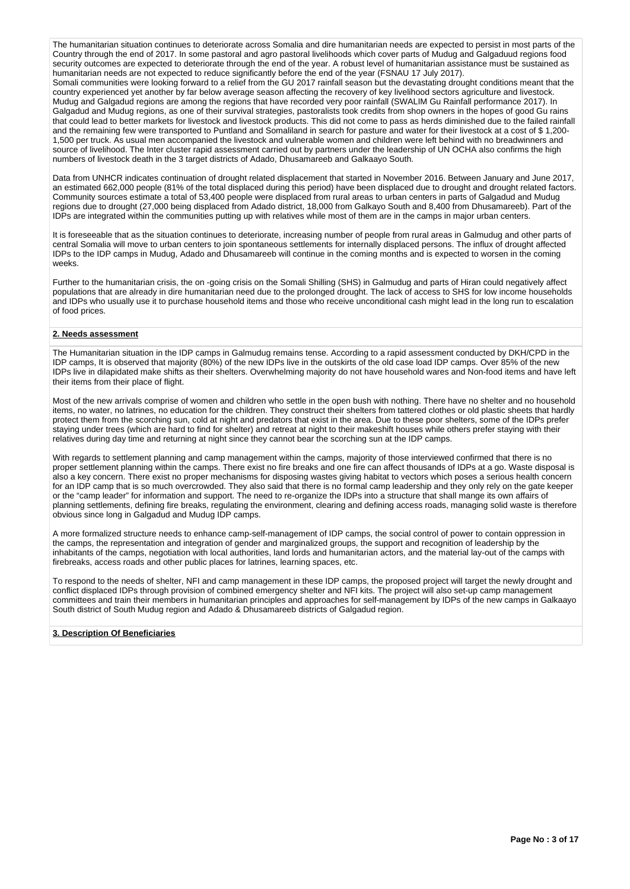The humanitarian situation continues to deteriorate across Somalia and dire humanitarian needs are expected to persist in most parts of the Country through the end of 2017. In some pastoral and agro pastoral livelihoods which cover parts of Mudug and Galgaduud regions food security outcomes are expected to deteriorate through the end of the year. A robust level of humanitarian assistance must be sustained as humanitarian needs are not expected to reduce significantly before the end of the year (FSNAU 17 July 2017).

Somali communities were looking forward to a relief from the GU 2017 rainfall season but the devastating drought conditions meant that the country experienced yet another by far below average season affecting the recovery of key livelihood sectors agriculture and livestock. Mudug and Galgadud regions are among the regions that have recorded very poor rainfall (SWALIM Gu Rainfall performance 2017). In Galgadud and Mudug regions, as one of their survival strategies, pastoralists took credits from shop owners in the hopes of good Gu rains that could lead to better markets for livestock and livestock products. This did not come to pass as herds diminished due to the failed rainfall and the remaining few were transported to Puntland and Somaliland in search for pasture and water for their livestock at a cost of \$ 1,200- 1,500 per truck. As usual men accompanied the livestock and vulnerable women and children were left behind with no breadwinners and source of livelihood. The Inter cluster rapid assessment carried out by partners under the leadership of UN OCHA also confirms the high numbers of livestock death in the 3 target districts of Adado, Dhusamareeb and Galkaayo South.

Data from UNHCR indicates continuation of drought related displacement that started in November 2016. Between January and June 2017, an estimated 662,000 people (81% of the total displaced during this period) have been displaced due to drought and drought related factors. Community sources estimate a total of 53,400 people were displaced from rural areas to urban centers in parts of Galgadud and Mudug regions due to drought (27,000 being displaced from Adado district, 18,000 from Galkayo South and 8,400 from Dhusamareeb). Part of the IDPs are integrated within the communities putting up with relatives while most of them are in the camps in major urban centers.

It is foreseeable that as the situation continues to deteriorate, increasing number of people from rural areas in Galmudug and other parts of central Somalia will move to urban centers to join spontaneous settlements for internally displaced persons. The influx of drought affected IDPs to the IDP camps in Mudug, Adado and Dhusamareeb will continue in the coming months and is expected to worsen in the coming weeks.

Further to the humanitarian crisis, the on -going crisis on the Somali Shilling (SHS) in Galmudug and parts of Hiran could negatively affect populations that are already in dire humanitarian need due to the prolonged drought. The lack of access to SHS for low income households and IDPs who usually use it to purchase household items and those who receive unconditional cash might lead in the long run to escalation of food prices.

### **2. Needs assessment**

The Humanitarian situation in the IDP camps in Galmudug remains tense. According to a rapid assessment conducted by DKH/CPD in the IDP camps, It is observed that majority (80%) of the new IDPs live in the outskirts of the old case load IDP camps. Over 85% of the new IDPs live in dilapidated make shifts as their shelters. Overwhelming majority do not have household wares and Non-food items and have left their items from their place of flight.

Most of the new arrivals comprise of women and children who settle in the open bush with nothing. There have no shelter and no household items, no water, no latrines, no education for the children. They construct their shelters from tattered clothes or old plastic sheets that hardly protect them from the scorching sun, cold at night and predators that exist in the area. Due to these poor shelters, some of the IDPs prefer staying under trees (which are hard to find for shelter) and retreat at night to their makeshift houses while others prefer staying with their relatives during day time and returning at night since they cannot bear the scorching sun at the IDP camps.

With regards to settlement planning and camp management within the camps, majority of those interviewed confirmed that there is no proper settlement planning within the camps. There exist no fire breaks and one fire can affect thousands of IDPs at a go. Waste disposal is also a key concern. There exist no proper mechanisms for disposing wastes giving habitat to vectors which poses a serious health concern for an IDP camp that is so much overcrowded. They also said that there is no formal camp leadership and they only rely on the gate keeper or the "camp leader" for information and support. The need to re-organize the IDPs into a structure that shall mange its own affairs of planning settlements, defining fire breaks, regulating the environment, clearing and defining access roads, managing solid waste is therefore obvious since long in Galgadud and Mudug IDP camps.

A more formalized structure needs to enhance camp-self-management of IDP camps, the social control of power to contain oppression in the camps, the representation and integration of gender and marginalized groups, the support and recognition of leadership by the inhabitants of the camps, negotiation with local authorities, land lords and humanitarian actors, and the material lay-out of the camps with firebreaks, access roads and other public places for latrines, learning spaces, etc.

To respond to the needs of shelter, NFI and camp management in these IDP camps, the proposed project will target the newly drought and conflict displaced IDPs through provision of combined emergency shelter and NFI kits. The project will also set-up camp management committees and train their members in humanitarian principles and approaches for self-management by IDPs of the new camps in Galkaayo South district of South Mudug region and Adado & Dhusamareeb districts of Galgadud region.

### **3. Description Of Beneficiaries**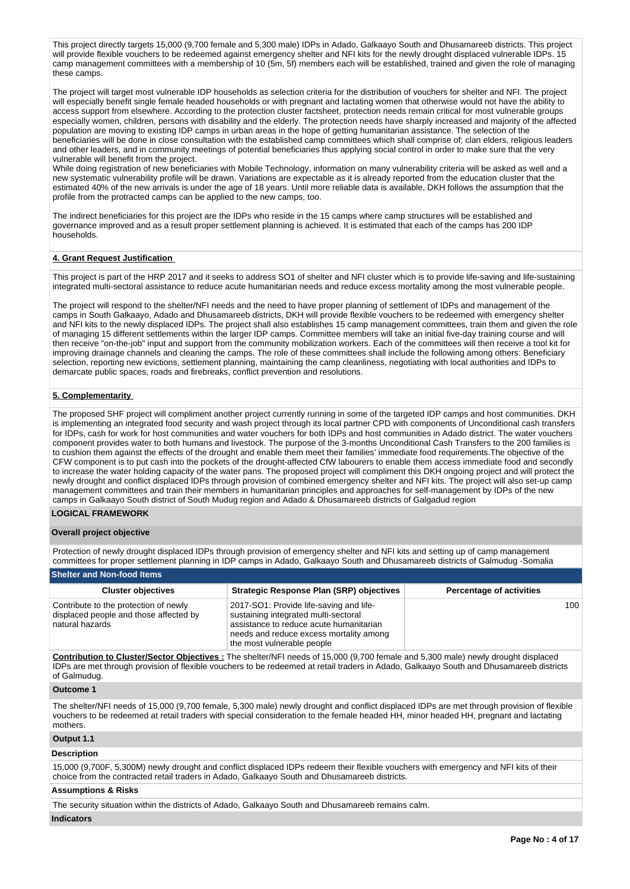This project directly targets 15,000 (9,700 female and 5,300 male) IDPs in Adado, Galkaayo South and Dhusamareeb districts. This project will provide flexible vouchers to be redeemed against emergency shelter and NFI kits for the newly drought displaced vulnerable IDPs. 15 camp management committees with a membership of 10 (5m, 5f) members each will be established, trained and given the role of managing these camps.

The project will target most vulnerable IDP households as selection criteria for the distribution of vouchers for shelter and NFI. The project will especially benefit single female headed households or with pregnant and lactating women that otherwise would not have the ability to access support from elsewhere. According to the protection cluster factsheet, protection needs remain critical for most vulnerable groups especially women, children, persons with disability and the elderly. The protection needs have sharply increased and majority of the affected population are moving to existing IDP camps in urban areas in the hope of getting humanitarian assistance. The selection of the beneficiaries will be done in close consultation with the established camp committees which shall comprise of; clan elders, religious leaders and other leaders, and in community meetings of potential beneficiaries thus applying social control in order to make sure that the very vulnerable will benefit from the project.

While doing registration of new beneficiaries with Mobile Technology, information on many vulnerability criteria will be asked as well and a new systematic vulnerability profile will be drawn. Variations are expectable as it is already reported from the education cluster that the estimated 40% of the new arrivals is under the age of 18 years. Until more reliable data is available, DKH follows the assumption that the profile from the protracted camps can be applied to the new camps, too.

The indirect beneficiaries for this project are the IDPs who reside in the 15 camps where camp structures will be established and governance improved and as a result proper settlement planning is achieved. It is estimated that each of the camps has 200 IDP households.

## **4. Grant Request Justification**

This project is part of the HRP 2017 and it seeks to address SO1 of shelter and NFI cluster which is to provide life-saving and life-sustaining integrated multi-sectoral assistance to reduce acute humanitarian needs and reduce excess mortality among the most vulnerable people.

The project will respond to the shelter/NFI needs and the need to have proper planning of settlement of IDPs and management of the camps in South Galkaayo, Adado and Dhusamareeb districts, DKH will provide flexible vouchers to be redeemed with emergency shelter and NFI kits to the newly displaced IDPs. The project shall also establishes 15 camp management committees, train them and given the role of managing 15 different settlements within the larger IDP camps. Committee members will take an initial five-day training course and will then receive "on-the-job" input and support from the community mobilization workers. Each of the committees will then receive a tool kit for improving drainage channels and cleaning the camps. The role of these committees shall include the following among others: Beneficiary selection, reporting new evictions, settlement planning, maintaining the camp cleanliness, negotiating with local authorities and IDPs to demarcate public spaces, roads and firebreaks, conflict prevention and resolutions.

### **5. Complementarity**

The proposed SHF project will compliment another project currently running in some of the targeted IDP camps and host communities. DKH is implementing an integrated food security and wash project through its local partner CPD with components of Unconditional cash transfers for IDPs, cash for work for host communities and water vouchers for both IDPs and host communities in Adado district. The water vouchers component provides water to both humans and livestock. The purpose of the 3-months Unconditional Cash Transfers to the 200 families is to cushion them against the effects of the drought and enable them meet their families' immediate food requirements.The objective of the CFW component is to put cash into the pockets of the drought-affected CfW labourers to enable them access immediate food and secondly to increase the water holding capacity of the water pans. The proposed project will compliment this DKH ongoing project and will protect the newly drought and conflict displaced IDPs through provision of combined emergency shelter and NFI kits. The project will also set-up camp management committees and train their members in humanitarian principles and approaches for self-management by IDPs of the new camps in Galkaayo South district of South Mudug region and Adado & Dhusamareeb districts of Galgadud region

## **LOGICAL FRAMEWORK**

### **Overall project objective**

Protection of newly drought displaced IDPs through provision of emergency shelter and NFI kits and setting up of camp management committees for proper settlement planning in IDP camps in Adado, Galkaayo South and Dhusamareeb districts of Galmudug -Somalia

| <b>Shelter and Non-food Items</b>                                                                  |                                                                                                                                                                                                     |                                 |  |  |  |  |  |  |  |  |  |
|----------------------------------------------------------------------------------------------------|-----------------------------------------------------------------------------------------------------------------------------------------------------------------------------------------------------|---------------------------------|--|--|--|--|--|--|--|--|--|
| <b>Cluster objectives</b>                                                                          | Strategic Response Plan (SRP) objectives                                                                                                                                                            | <b>Percentage of activities</b> |  |  |  |  |  |  |  |  |  |
| Contribute to the protection of newly<br>displaced people and those affected by<br>natural hazards | 2017-SO1: Provide life-saving and life-<br>sustaining integrated multi-sectoral<br>assistance to reduce acute humanitarian<br>needs and reduce excess mortality among<br>the most vulnerable people | 100                             |  |  |  |  |  |  |  |  |  |

**Contribution to Cluster/Sector Objectives :** The shelter/NFI needs of 15,000 (9,700 female and 5,300 male) newly drought displaced IDPs are met through provision of flexible vouchers to be redeemed at retail traders in Adado, Galkaayo South and Dhusamareeb districts of Galmudug.

#### **Outcome 1**

The shelter/NFI needs of 15,000 (9,700 female, 5,300 male) newly drought and conflict displaced IDPs are met through provision of flexible vouchers to be redeemed at retail traders with special consideration to the female headed HH, minor headed HH, pregnant and lactating mothers.

### **Output 1.1**

### **Description**

15,000 (9,700F, 5,300M) newly drought and conflict displaced IDPs redeem their flexible vouchers with emergency and NFI kits of their choice from the contracted retail traders in Adado, Galkaayo South and Dhusamareeb districts.

### **Assumptions & Risks**

The security situation within the districts of Adado, Galkaayo South and Dhusamareeb remains calm.

## **Indicators**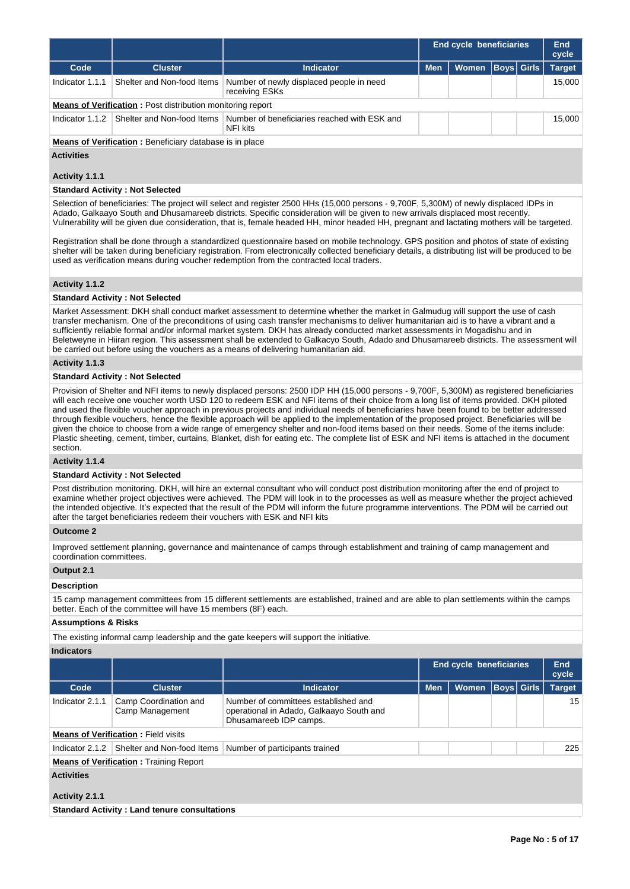|                   |                                                                   |                                                                                     |            | <b>End cycle beneficiaries</b> | End<br>cycle      |               |
|-------------------|-------------------------------------------------------------------|-------------------------------------------------------------------------------------|------------|--------------------------------|-------------------|---------------|
| Code              | <b>Cluster</b>                                                    | Indicator                                                                           | <b>Men</b> | Women                          | <b>Boys Girls</b> | <b>Target</b> |
| Indicator 1.1.1   | Shelter and Non-food Items                                        | Number of newly displaced people in need<br>receiving ESKs                          |            |                                |                   | 15.000        |
|                   | <b>Means of Verification:</b> Post distribution monitoring report |                                                                                     |            |                                |                   |               |
| Indicator $1.1.2$ |                                                                   | Shelter and Non-food Items Number of beneficiaries reached with ESK and<br>NFI kits |            |                                |                   | 15.000        |
|                   | <b>Means of Verification:</b> Beneficiary database is in place    |                                                                                     |            |                                |                   |               |

# **Activities**

## **Activity 1.1.1**

## **Standard Activity : Not Selected**

Selection of beneficiaries: The project will select and register 2500 HHs (15,000 persons - 9,700F, 5,300M) of newly displaced IDPs in Adado, Galkaayo South and Dhusamareeb districts. Specific consideration will be given to new arrivals displaced most recently. Vulnerability will be given due consideration, that is, female headed HH, minor headed HH, pregnant and lactating mothers will be targeted.

Registration shall be done through a standardized questionnaire based on mobile technology. GPS position and photos of state of existing shelter will be taken during beneficiary registration. From electronically collected beneficiary details, a distributing list will be produced to be used as verification means during voucher redemption from the contracted local traders.

## **Activity 1.1.2**

## **Standard Activity : Not Selected**

Market Assessment: DKH shall conduct market assessment to determine whether the market in Galmudug will support the use of cash transfer mechanism. One of the preconditions of using cash transfer mechanisms to deliver humanitarian aid is to have a vibrant and a sufficiently reliable formal and/or informal market system. DKH has already conducted market assessments in Mogadishu and in Beletweyne in Hiiran region. This assessment shall be extended to Galkacyo South, Adado and Dhusamareeb districts. The assessment will be carried out before using the vouchers as a means of delivering humanitarian aid.

## **Activity 1.1.3**

## **Standard Activity : Not Selected**

Provision of Shelter and NFI items to newly displaced persons: 2500 IDP HH (15,000 persons - 9,700F, 5,300M) as registered beneficiaries will each receive one voucher worth USD 120 to redeem ESK and NFI items of their choice from a long list of items provided. DKH piloted and used the flexible voucher approach in previous projects and individual needs of beneficiaries have been found to be better addressed through flexible vouchers, hence the flexible approach will be applied to the implementation of the proposed project. Beneficiaries will be given the choice to choose from a wide range of emergency shelter and non-food items based on their needs. Some of the items include: Plastic sheeting, cement, timber, curtains, Blanket, dish for eating etc. The complete list of ESK and NFI items is attached in the document section.

#### **Activity 1.1.4**

### **Standard Activity : Not Selected**

Post distribution monitoring. DKH, will hire an external consultant who will conduct post distribution monitoring after the end of project to examine whether project objectives were achieved. The PDM will look in to the processes as well as measure whether the project achieved the intended objective. It's expected that the result of the PDM will inform the future programme interventions. The PDM will be carried out after the target beneficiaries redeem their vouchers with ESK and NFI kits

## **Outcome 2**

Improved settlement planning, governance and maintenance of camps through establishment and training of camp management and coordination committees.

## **Output 2.1**

### **Description**

15 camp management committees from 15 different settlements are established, trained and are able to plan settlements within the camps better. Each of the committee will have 15 members (8F) each.

### **Assumptions & Risks**

The existing informal camp leadership and the gate keepers will support the initiative.

| Indicators |  |
|------------|--|
|            |  |

|                   |                                                     |                                                                                                            | <b>End cycle beneficiaries</b> |              |            |  | <b>End</b><br>cycle |  |  |  |  |
|-------------------|-----------------------------------------------------|------------------------------------------------------------------------------------------------------------|--------------------------------|--------------|------------|--|---------------------|--|--|--|--|
| Code              | <b>Cluster</b>                                      | <b>Indicator</b>                                                                                           | <b>Men</b>                     | <b>Women</b> | Boys Girls |  | <b>Target</b>       |  |  |  |  |
| Indicator 2.1.1   | Camp Coordination and<br>Camp Management            | Number of committees established and<br>operational in Adado, Galkaayo South and<br>Dhusamareeb IDP camps. |                                |              |            |  | 15                  |  |  |  |  |
|                   | <b>Means of Verification: Field visits</b>          |                                                                                                            |                                |              |            |  |                     |  |  |  |  |
| Indicator 2.1.2   | Shelter and Non-food Items                          | Number of participants trained                                                                             |                                |              |            |  | 225                 |  |  |  |  |
|                   | <b>Means of Verification: Training Report</b>       |                                                                                                            |                                |              |            |  |                     |  |  |  |  |
| <b>Activities</b> |                                                     |                                                                                                            |                                |              |            |  |                     |  |  |  |  |
| Activity 2.1.1    |                                                     |                                                                                                            |                                |              |            |  |                     |  |  |  |  |
|                   | <b>Standard Activity: Land tenure consultations</b> |                                                                                                            |                                |              |            |  |                     |  |  |  |  |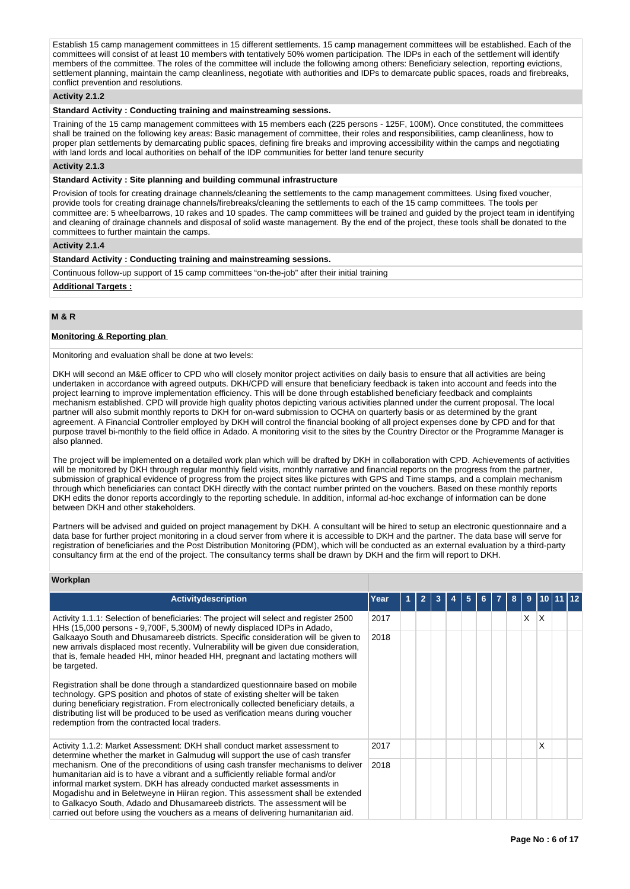Establish 15 camp management committees in 15 different settlements. 15 camp management committees will be established. Each of the committees will consist of at least 10 members with tentatively 50% women participation. The IDPs in each of the settlement will identify members of the committee. The roles of the committee will include the following among others: Beneficiary selection, reporting evictions, settlement planning, maintain the camp cleanliness, negotiate with authorities and IDPs to demarcate public spaces, roads and firebreaks, conflict prevention and resolutions.

## **Activity 2.1.2**

## **Standard Activity : Conducting training and mainstreaming sessions.**

Training of the 15 camp management committees with 15 members each (225 persons - 125F, 100M). Once constituted, the committees shall be trained on the following key areas: Basic management of committee, their roles and responsibilities, camp cleanliness, how to proper plan settlements by demarcating public spaces, defining fire breaks and improving accessibility within the camps and negotiating with land lords and local authorities on behalf of the IDP communities for better land tenure security

### **Activity 2.1.3**

### **Standard Activity : Site planning and building communal infrastructure**

Provision of tools for creating drainage channels/cleaning the settlements to the camp management committees. Using fixed voucher, provide tools for creating drainage channels/firebreaks/cleaning the settlements to each of the 15 camp committees. The tools per committee are: 5 wheelbarrows, 10 rakes and 10 spades. The camp committees will be trained and guided by the project team in identifying and cleaning of drainage channels and disposal of solid waste management. By the end of the project, these tools shall be donated to the committees to further maintain the camps.

## **Activity 2.1.4**

## **Standard Activity : Conducting training and mainstreaming sessions.**

Continuous follow-up support of 15 camp committees "on-the-job" after their initial training

### **Additional Targets :**

## **M & R**

## **Monitoring & Reporting plan**

Monitoring and evaluation shall be done at two levels:

DKH will second an M&E officer to CPD who will closely monitor project activities on daily basis to ensure that all activities are being undertaken in accordance with agreed outputs. DKH/CPD will ensure that beneficiary feedback is taken into account and feeds into the project learning to improve implementation efficiency. This will be done through established beneficiary feedback and complaints mechanism established. CPD will provide high quality photos depicting various activities planned under the current proposal. The local partner will also submit monthly reports to DKH for on-ward submission to OCHA on quarterly basis or as determined by the grant agreement. A Financial Controller employed by DKH will control the financial booking of all project expenses done by CPD and for that purpose travel bi-monthly to the field office in Adado. A monitoring visit to the sites by the Country Director or the Programme Manager is also planned.

The project will be implemented on a detailed work plan which will be drafted by DKH in collaboration with CPD. Achievements of activities will be monitored by DKH through regular monthly field visits, monthly narrative and financial reports on the progress from the partner, submission of graphical evidence of progress from the project sites like pictures with GPS and Time stamps, and a complain mechanism through which beneficiaries can contact DKH directly with the contact number printed on the vouchers. Based on these monthly reports DKH edits the donor reports accordingly to the reporting schedule. In addition, informal ad-hoc exchange of information can be done between DKH and other stakeholders.

Partners will be advised and guided on project management by DKH. A consultant will be hired to setup an electronic questionnaire and a data base for further project monitoring in a cloud server from where it is accessible to DKH and the partner. The data base will serve for registration of beneficiaries and the Post Distribution Monitoring (PDM), which will be conducted as an external evaluation by a third-party consultancy firm at the end of the project. The consultancy terms shall be drawn by DKH and the firm will report to DKH.

### **Workplan**

| Activitydescription                                                                                                                                                                                                                                                                                                                                                                                                                                                                                 | Year |  |  | 5 |  | 8 | 9 |                 |  |  |
|-----------------------------------------------------------------------------------------------------------------------------------------------------------------------------------------------------------------------------------------------------------------------------------------------------------------------------------------------------------------------------------------------------------------------------------------------------------------------------------------------------|------|--|--|---|--|---|---|-----------------|--|--|
| Activity 1.1.1: Selection of beneficiaries: The project will select and register 2500<br>HHs (15,000 persons - 9,700F, 5,300M) of newly displaced IDPs in Adado,                                                                                                                                                                                                                                                                                                                                    | 2017 |  |  |   |  |   | X | $\mathsf{\chi}$ |  |  |
| Galkaayo South and Dhusamareeb districts. Specific consideration will be given to<br>2018<br>new arrivals displaced most recently. Vulnerability will be given due consideration,<br>that is, female headed HH, minor headed HH, pregnant and lactating mothers will<br>be targeted.                                                                                                                                                                                                                |      |  |  |   |  |   |   |                 |  |  |
| Registration shall be done through a standardized questionnaire based on mobile<br>technology. GPS position and photos of state of existing shelter will be taken<br>during beneficiary registration. From electronically collected beneficiary details, a<br>distributing list will be produced to be used as verification means during voucher<br>redemption from the contracted local traders.                                                                                                   |      |  |  |   |  |   |   |                 |  |  |
| Activity 1.1.2: Market Assessment: DKH shall conduct market assessment to<br>determine whether the market in Galmudug will support the use of cash transfer                                                                                                                                                                                                                                                                                                                                         | 2017 |  |  |   |  |   |   | x               |  |  |
| mechanism. One of the preconditions of using cash transfer mechanisms to deliver<br>humanitarian aid is to have a vibrant and a sufficiently reliable formal and/or<br>informal market system. DKH has already conducted market assessments in<br>Mogadishu and in Beletweyne in Hiiran region. This assessment shall be extended<br>to Galkacyo South, Adado and Dhusamareeb districts. The assessment will be<br>carried out before using the vouchers as a means of delivering humanitarian aid. | 2018 |  |  |   |  |   |   |                 |  |  |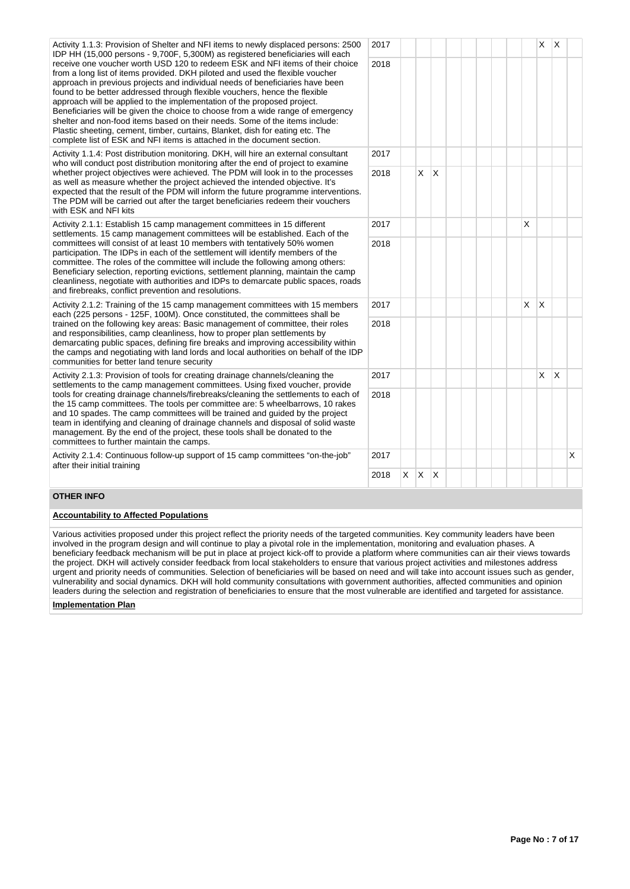| Activity 1.1.3: Provision of Shelter and NFI items to newly displaced persons: 2500<br>IDP HH (15,000 persons - 9,700F, 5,300M) as registered beneficiaries will each                                                                                                                                                                                                                                                                                                                                                                                                                                                                                                                                                                  | 2017 |   |         |                        |  |  |   | X                       | ΙX.          |   |
|----------------------------------------------------------------------------------------------------------------------------------------------------------------------------------------------------------------------------------------------------------------------------------------------------------------------------------------------------------------------------------------------------------------------------------------------------------------------------------------------------------------------------------------------------------------------------------------------------------------------------------------------------------------------------------------------------------------------------------------|------|---|---------|------------------------|--|--|---|-------------------------|--------------|---|
| receive one voucher worth USD 120 to redeem ESK and NFI items of their choice<br>from a long list of items provided. DKH piloted and used the flexible voucher<br>approach in previous projects and individual needs of beneficiaries have been<br>found to be better addressed through flexible vouchers, hence the flexible<br>approach will be applied to the implementation of the proposed project.<br>Beneficiaries will be given the choice to choose from a wide range of emergency<br>shelter and non-food items based on their needs. Some of the items include:<br>Plastic sheeting, cement, timber, curtains, Blanket, dish for eating etc. The<br>complete list of ESK and NFI items is attached in the document section. | 2018 |   |         |                        |  |  |   |                         |              |   |
| Activity 1.1.4: Post distribution monitoring. DKH, will hire an external consultant<br>who will conduct post distribution monitoring after the end of project to examine                                                                                                                                                                                                                                                                                                                                                                                                                                                                                                                                                               | 2017 |   |         |                        |  |  |   |                         |              |   |
| whether project objectives were achieved. The PDM will look in to the processes<br>as well as measure whether the project achieved the intended objective. It's<br>expected that the result of the PDM will inform the future programme interventions.<br>The PDM will be carried out after the target beneficiaries redeem their vouchers<br>with ESK and NFI kits                                                                                                                                                                                                                                                                                                                                                                    | 2018 |   | X       | $\mathsf{I}\mathsf{X}$ |  |  |   |                         |              |   |
| Activity 2.1.1: Establish 15 camp management committees in 15 different<br>settlements. 15 camp management committees will be established. Each of the                                                                                                                                                                                                                                                                                                                                                                                                                                                                                                                                                                                 | 2017 |   |         |                        |  |  | X |                         |              |   |
| committees will consist of at least 10 members with tentatively 50% women<br>participation. The IDPs in each of the settlement will identify members of the<br>committee. The roles of the committee will include the following among others:<br>Beneficiary selection, reporting evictions, settlement planning, maintain the camp<br>cleanliness, negotiate with authorities and IDPs to demarcate public spaces, roads<br>and firebreaks, conflict prevention and resolutions.                                                                                                                                                                                                                                                      | 2018 |   |         |                        |  |  |   |                         |              |   |
| Activity 2.1.2: Training of the 15 camp management committees with 15 members<br>each (225 persons - 125F, 100M). Once constituted, the committees shall be                                                                                                                                                                                                                                                                                                                                                                                                                                                                                                                                                                            | 2017 |   |         |                        |  |  | X | $\mathsf{I} \mathsf{X}$ |              |   |
| trained on the following key areas: Basic management of committee, their roles<br>and responsibilities, camp cleanliness, how to proper plan settlements by<br>demarcating public spaces, defining fire breaks and improving accessibility within<br>the camps and negotiating with land lords and local authorities on behalf of the IDP<br>communities for better land tenure security                                                                                                                                                                                                                                                                                                                                               | 2018 |   |         |                        |  |  |   |                         |              |   |
| Activity 2.1.3: Provision of tools for creating drainage channels/cleaning the<br>settlements to the camp management committees. Using fixed voucher, provide                                                                                                                                                                                                                                                                                                                                                                                                                                                                                                                                                                          | 2017 |   |         |                        |  |  |   | $\mathsf{x}$            | $\mathsf{X}$ |   |
| tools for creating drainage channels/firebreaks/cleaning the settlements to each of<br>the 15 camp committees. The tools per committee are: 5 wheelbarrows, 10 rakes<br>and 10 spades. The camp committees will be trained and guided by the project<br>team in identifying and cleaning of drainage channels and disposal of solid waste<br>management. By the end of the project, these tools shall be donated to the<br>committees to further maintain the camps.                                                                                                                                                                                                                                                                   | 2018 |   |         |                        |  |  |   |                         |              |   |
| Activity 2.1.4: Continuous follow-up support of 15 camp committees "on-the-job"<br>after their initial training                                                                                                                                                                                                                                                                                                                                                                                                                                                                                                                                                                                                                        | 2017 |   |         |                        |  |  |   |                         |              | X |
|                                                                                                                                                                                                                                                                                                                                                                                                                                                                                                                                                                                                                                                                                                                                        | 2018 | X | $X$ $X$ |                        |  |  |   |                         |              |   |

## **OTHER INFO**

## **Accountability to Affected Populations**

Various activities proposed under this project reflect the priority needs of the targeted communities. Key community leaders have been involved in the program design and will continue to play a pivotal role in the implementation, monitoring and evaluation phases. A beneficiary feedback mechanism will be put in place at project kick-off to provide a platform where communities can air their views towards the project. DKH will actively consider feedback from local stakeholders to ensure that various project activities and milestones address urgent and priority needs of communities. Selection of beneficiaries will be based on need and will take into account issues such as gender, vulnerability and social dynamics. DKH will hold community consultations with government authorities, affected communities and opinion leaders during the selection and registration of beneficiaries to ensure that the most vulnerable are identified and targeted for assistance.

## **Implementation Plan**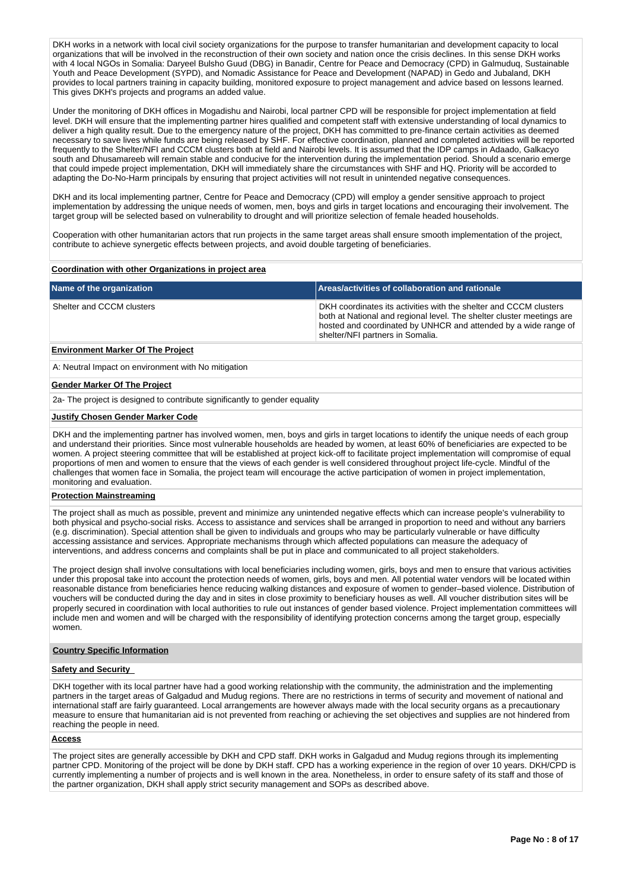DKH works in a network with local civil society organizations for the purpose to transfer humanitarian and development capacity to local organizations that will be involved in the reconstruction of their own society and nation once the crisis declines. In this sense DKH works with 4 local NGOs in Somalia: Daryeel Bulsho Guud (DBG) in Banadir, Centre for Peace and Democracy (CPD) in Galmuduq, Sustainable Youth and Peace Development (SYPD), and Nomadic Assistance for Peace and Development (NAPAD) in Gedo and Jubaland, DKH provides to local partners training in capacity building, monitored exposure to project management and advice based on lessons learned. This gives DKH's projects and programs an added value.

Under the monitoring of DKH offices in Mogadishu and Nairobi, local partner CPD will be responsible for project implementation at field level. DKH will ensure that the implementing partner hires qualified and competent staff with extensive understanding of local dynamics to deliver a high quality result. Due to the emergency nature of the project, DKH has committed to pre-finance certain activities as deemed necessary to save lives while funds are being released by SHF. For effective coordination, planned and completed activities will be reported frequently to the Shelter/NFI and CCCM clusters both at field and Nairobi levels. It is assumed that the IDP camps in Adaado, Galkacyo south and Dhusamareeb will remain stable and conducive for the intervention during the implementation period. Should a scenario emerge that could impede project implementation, DKH will immediately share the circumstances with SHF and HQ. Priority will be accorded to adapting the Do-No-Harm principals by ensuring that project activities will not result in unintended negative consequences.

DKH and its local implementing partner, Centre for Peace and Democracy (CPD) will employ a gender sensitive approach to project implementation by addressing the unique needs of women, men, boys and girls in target locations and encouraging their involvement. The target group will be selected based on vulnerability to drought and will prioritize selection of female headed households.

Cooperation with other humanitarian actors that run projects in the same target areas shall ensure smooth implementation of the project, contribute to achieve synergetic effects between projects, and avoid double targeting of beneficiaries.

### **Coordination with other Organizations in project area**

| Name of the organization                 | Areas/activities of collaboration and rationale                                                                                                                                                                                                   |
|------------------------------------------|---------------------------------------------------------------------------------------------------------------------------------------------------------------------------------------------------------------------------------------------------|
| Shelter and CCCM clusters                | DKH coordinates its activities with the shelter and CCCM clusters<br>both at National and regional level. The shelter cluster meetings are<br>hosted and coordinated by UNHCR and attended by a wide range of<br>shelter/NFI partners in Somalia. |
| <b>Environment Marker Of The Project</b> |                                                                                                                                                                                                                                                   |

## A: Neutral Impact on environment with No mitigation

#### **Gender Marker Of The Project**

2a- The project is designed to contribute significantly to gender equality

### **Justify Chosen Gender Marker Code**

DKH and the implementing partner has involved women, men, boys and girls in target locations to identify the unique needs of each group and understand their priorities. Since most vulnerable households are headed by women, at least 60% of beneficiaries are expected to be women. A project steering committee that will be established at project kick-off to facilitate project implementation will compromise of equal proportions of men and women to ensure that the views of each gender is well considered throughout project life-cycle. Mindful of the challenges that women face in Somalia, the project team will encourage the active participation of women in project implementation, monitoring and evaluation.

## **Protection Mainstreaming**

The project shall as much as possible, prevent and minimize any unintended negative effects which can increase people's vulnerability to both physical and psycho-social risks. Access to assistance and services shall be arranged in proportion to need and without any barriers (e.g. discrimination). Special attention shall be given to individuals and groups who may be particularly vulnerable or have difficulty accessing assistance and services. Appropriate mechanisms through which affected populations can measure the adequacy of interventions, and address concerns and complaints shall be put in place and communicated to all project stakeholders.

The project design shall involve consultations with local beneficiaries including women, girls, boys and men to ensure that various activities under this proposal take into account the protection needs of women, girls, boys and men. All potential water vendors will be located within reasonable distance from beneficiaries hence reducing walking distances and exposure of women to gender–based violence. Distribution of vouchers will be conducted during the day and in sites in close proximity to beneficiary houses as well. All voucher distribution sites will be properly secured in coordination with local authorities to rule out instances of gender based violence. Project implementation committees will include men and women and will be charged with the responsibility of identifying protection concerns among the target group, especially women.

### **Country Specific Information**

### **Safety and Security**

DKH together with its local partner have had a good working relationship with the community, the administration and the implementing partners in the target areas of Galgadud and Mudug regions. There are no restrictions in terms of security and movement of national and international staff are fairly guaranteed. Local arrangements are however always made with the local security organs as a precautionary measure to ensure that humanitarian aid is not prevented from reaching or achieving the set objectives and supplies are not hindered from reaching the people in need.

### **Access**

The project sites are generally accessible by DKH and CPD staff. DKH works in Galgadud and Mudug regions through its implementing partner CPD. Monitoring of the project will be done by DKH staff. CPD has a working experience in the region of over 10 years. DKH/CPD is currently implementing a number of projects and is well known in the area. Nonetheless, in order to ensure safety of its staff and those of the partner organization, DKH shall apply strict security management and SOPs as described above.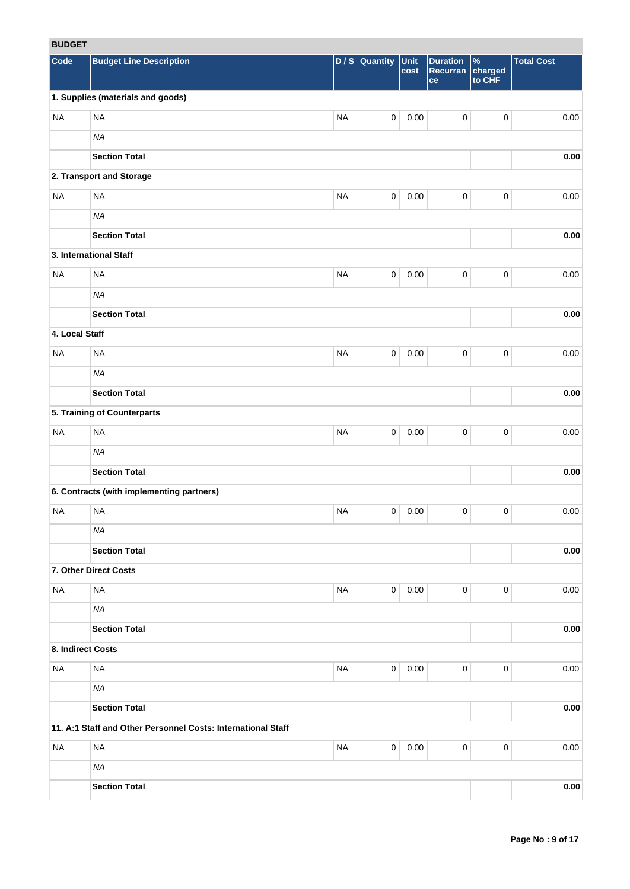# **BUDGET**

| <b>RUDGEI</b>     |                                                              |           |                     |              |                                          |                                    |                   |
|-------------------|--------------------------------------------------------------|-----------|---------------------|--------------|------------------------------------------|------------------------------------|-------------------|
| Code              | <b>Budget Line Description</b>                               |           | $D / S$ Quantity    | Unit<br>cost | <b>Duration</b><br><b>Recurran</b><br>ce | $\frac{9}{6}$<br>charged<br>to CHF | <b>Total Cost</b> |
|                   | 1. Supplies (materials and goods)                            |           |                     |              |                                          |                                    |                   |
| <b>NA</b>         | <b>NA</b>                                                    | <b>NA</b> | $\mathsf{O}\xspace$ | 0.00         | $\pmb{0}$                                | $\pmb{0}$                          | 0.00              |
|                   | <b>NA</b>                                                    |           |                     |              |                                          |                                    |                   |
|                   | <b>Section Total</b>                                         |           |                     |              |                                          |                                    | 0.00              |
|                   | 2. Transport and Storage                                     |           |                     |              |                                          |                                    |                   |
| <b>NA</b>         | <b>NA</b>                                                    | <b>NA</b> | $\mathbf 0$         | 0.00         | $\mathbf 0$                              | $\pmb{0}$                          | 0.00              |
|                   | <b>NA</b>                                                    |           |                     |              |                                          |                                    |                   |
|                   | <b>Section Total</b>                                         |           |                     |              |                                          |                                    | 0.00              |
|                   | 3. International Staff                                       |           |                     |              |                                          |                                    |                   |
| <b>NA</b>         | <b>NA</b>                                                    | <b>NA</b> | $\mathbf 0$         | 0.00         | $\mathbf 0$                              | $\pmb{0}$                          | 0.00              |
|                   | <b>NA</b>                                                    |           |                     |              |                                          |                                    |                   |
|                   | <b>Section Total</b>                                         |           |                     |              |                                          |                                    | $0.00\,$          |
| 4. Local Staff    |                                                              |           |                     |              |                                          |                                    |                   |
| <b>NA</b>         | <b>NA</b>                                                    | <b>NA</b> | $\mathbf 0$         | 0.00         | $\pmb{0}$                                | $\pmb{0}$                          | 0.00              |
|                   | <b>NA</b>                                                    |           |                     |              |                                          |                                    |                   |
|                   | <b>Section Total</b>                                         |           |                     |              |                                          |                                    | 0.00              |
|                   | 5. Training of Counterparts                                  |           |                     |              |                                          |                                    |                   |
| <b>NA</b>         | <b>NA</b>                                                    | <b>NA</b> | $\pmb{0}$           | 0.00         | $\pmb{0}$                                | 0                                  | 0.00              |
|                   | <b>NA</b>                                                    |           |                     |              |                                          |                                    |                   |
|                   | <b>Section Total</b>                                         |           |                     |              |                                          |                                    | 0.00              |
|                   | 6. Contracts (with implementing partners)                    |           |                     |              |                                          |                                    |                   |
| <b>NA</b>         | <b>NA</b>                                                    | <b>NA</b> | 0                   | 0.00         | 0                                        | 0                                  | 0.00              |
|                   | <b>NA</b>                                                    |           |                     |              |                                          |                                    |                   |
|                   | <b>Section Total</b>                                         |           |                     |              |                                          |                                    | 0.00              |
|                   | 7. Other Direct Costs                                        |           |                     |              |                                          |                                    |                   |
| <b>NA</b>         | <b>NA</b>                                                    | <b>NA</b> | $\mathbf 0$         | 0.00         | $\mathbf 0$                              | 0                                  | 0.00              |
|                   | NA                                                           |           |                     |              |                                          |                                    |                   |
|                   | <b>Section Total</b>                                         |           |                     |              |                                          |                                    | $0.00\,$          |
| 8. Indirect Costs |                                                              |           |                     |              |                                          |                                    |                   |
| <b>NA</b>         | $\sf NA$                                                     | <b>NA</b> | $\mathbf 0$         | 0.00         | $\mathbf 0$                              | 0                                  | 0.00              |
|                   | <b>NA</b>                                                    |           |                     |              |                                          |                                    |                   |
|                   | <b>Section Total</b>                                         |           |                     |              |                                          |                                    | 0.00              |
|                   | 11. A:1 Staff and Other Personnel Costs: International Staff |           |                     |              |                                          |                                    |                   |
| <b>NA</b>         | <b>NA</b>                                                    | <b>NA</b> | $\mathbf 0$         | 0.00         | $\mathbf 0$                              | 0                                  | 0.00              |
|                   | <b>NA</b>                                                    |           |                     |              |                                          |                                    |                   |
|                   | <b>Section Total</b>                                         |           |                     |              |                                          |                                    | $0.00\,$          |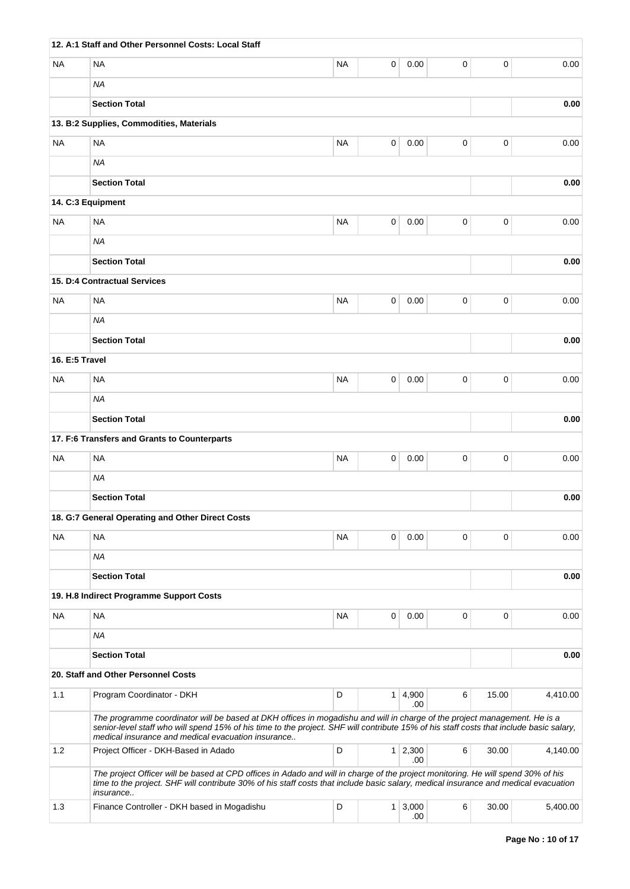|                | 12. A:1 Staff and Other Personnel Costs: Local Staff                                                                                                                                                                                                                                                                       |           |                |              |             |             |          |
|----------------|----------------------------------------------------------------------------------------------------------------------------------------------------------------------------------------------------------------------------------------------------------------------------------------------------------------------------|-----------|----------------|--------------|-------------|-------------|----------|
| NA             | <b>NA</b>                                                                                                                                                                                                                                                                                                                  | <b>NA</b> | 0              | 0.00         | 0           | 0           | 0.00     |
|                | <b>NA</b>                                                                                                                                                                                                                                                                                                                  |           |                |              |             |             |          |
|                | <b>Section Total</b>                                                                                                                                                                                                                                                                                                       |           |                |              |             |             | 0.00     |
|                | 13. B:2 Supplies, Commodities, Materials                                                                                                                                                                                                                                                                                   |           |                |              |             |             |          |
| <b>NA</b>      | <b>NA</b>                                                                                                                                                                                                                                                                                                                  | <b>NA</b> | $\mathbf 0$    | 0.00         | $\mathbf 0$ | 0           | 0.00     |
|                | <b>NA</b>                                                                                                                                                                                                                                                                                                                  |           |                |              |             |             |          |
|                | <b>Section Total</b>                                                                                                                                                                                                                                                                                                       |           |                |              |             |             | 0.00     |
|                | 14. C:3 Equipment                                                                                                                                                                                                                                                                                                          |           |                |              |             |             |          |
| NA             | <b>NA</b>                                                                                                                                                                                                                                                                                                                  | <b>NA</b> | 0              | 0.00         | $\pmb{0}$   | $\pmb{0}$   | 0.00     |
|                | <b>NA</b>                                                                                                                                                                                                                                                                                                                  |           |                |              |             |             |          |
|                | <b>Section Total</b>                                                                                                                                                                                                                                                                                                       |           |                |              |             |             | 0.00     |
|                | <b>15. D:4 Contractual Services</b>                                                                                                                                                                                                                                                                                        |           |                |              |             |             |          |
| <b>NA</b>      | <b>NA</b>                                                                                                                                                                                                                                                                                                                  | <b>NA</b> | 0              | 0.00         | 0           | $\mathbf 0$ | 0.00     |
|                | <b>NA</b>                                                                                                                                                                                                                                                                                                                  |           |                |              |             |             |          |
|                | <b>Section Total</b>                                                                                                                                                                                                                                                                                                       |           |                |              |             |             | 0.00     |
| 16. E:5 Travel |                                                                                                                                                                                                                                                                                                                            |           |                |              |             |             |          |
| ΝA             | <b>NA</b>                                                                                                                                                                                                                                                                                                                  | <b>NA</b> | 0              | 0.00         | 0           | 0           | 0.00     |
|                | ΝA                                                                                                                                                                                                                                                                                                                         |           |                |              |             |             |          |
|                | <b>Section Total</b>                                                                                                                                                                                                                                                                                                       |           |                |              |             |             | 0.00     |
|                | 17. F:6 Transfers and Grants to Counterparts                                                                                                                                                                                                                                                                               |           |                |              |             |             |          |
| NA             | <b>NA</b>                                                                                                                                                                                                                                                                                                                  | <b>NA</b> | 0              | 0.00         | 0           | $\mathbf 0$ | 0.00     |
|                | <b>NA</b>                                                                                                                                                                                                                                                                                                                  |           |                |              |             |             |          |
|                | <b>Section Total</b>                                                                                                                                                                                                                                                                                                       |           |                |              |             |             | 0.00     |
|                | 18. G:7 General Operating and Other Direct Costs                                                                                                                                                                                                                                                                           |           |                |              |             |             |          |
| NA             | <b>NA</b>                                                                                                                                                                                                                                                                                                                  | <b>NA</b> | 0              | 0.00         | 0           | 0           | 0.00     |
|                | <b>NA</b>                                                                                                                                                                                                                                                                                                                  |           |                |              |             |             |          |
|                | <b>Section Total</b>                                                                                                                                                                                                                                                                                                       |           |                |              |             |             | 0.00     |
|                | 19. H.8 Indirect Programme Support Costs                                                                                                                                                                                                                                                                                   |           |                |              |             |             |          |
| NA             | <b>NA</b>                                                                                                                                                                                                                                                                                                                  | <b>NA</b> | 0              | 0.00         | 0           | 0           | 0.00     |
|                | <b>NA</b>                                                                                                                                                                                                                                                                                                                  |           |                |              |             |             |          |
|                | <b>Section Total</b>                                                                                                                                                                                                                                                                                                       |           |                |              |             |             | 0.00     |
|                | 20. Staff and Other Personnel Costs                                                                                                                                                                                                                                                                                        |           |                |              |             |             |          |
| 1.1            | Program Coordinator - DKH                                                                                                                                                                                                                                                                                                  | D         | $\mathbf{1}$   | 4,900<br>.00 | 6           | 15.00       | 4,410.00 |
|                | The programme coordinator will be based at DKH offices in mogadishu and will in charge of the project management. He is a<br>senior-level staff who will spend 15% of his time to the project. SHF will contribute 15% of his staff costs that include basic salary,<br>medical insurance and medical evacuation insurance |           |                |              |             |             |          |
| 1.2            | Project Officer - DKH-Based in Adado                                                                                                                                                                                                                                                                                       | D         | 1 <sup>1</sup> | 2,300<br>.00 | 6           | 30.00       | 4,140.00 |
|                | The project Officer will be based at CPD offices in Adado and will in charge of the project monitoring. He will spend 30% of his<br>time to the project. SHF will contribute 30% of his staff costs that include basic salary, medical insurance and medical evacuation<br>insurance                                       |           |                |              |             |             |          |
| 1.3            | Finance Controller - DKH based in Mogadishu                                                                                                                                                                                                                                                                                | D         | 1 <sup>1</sup> | 3,000<br>.00 | 6           | 30.00       | 5,400.00 |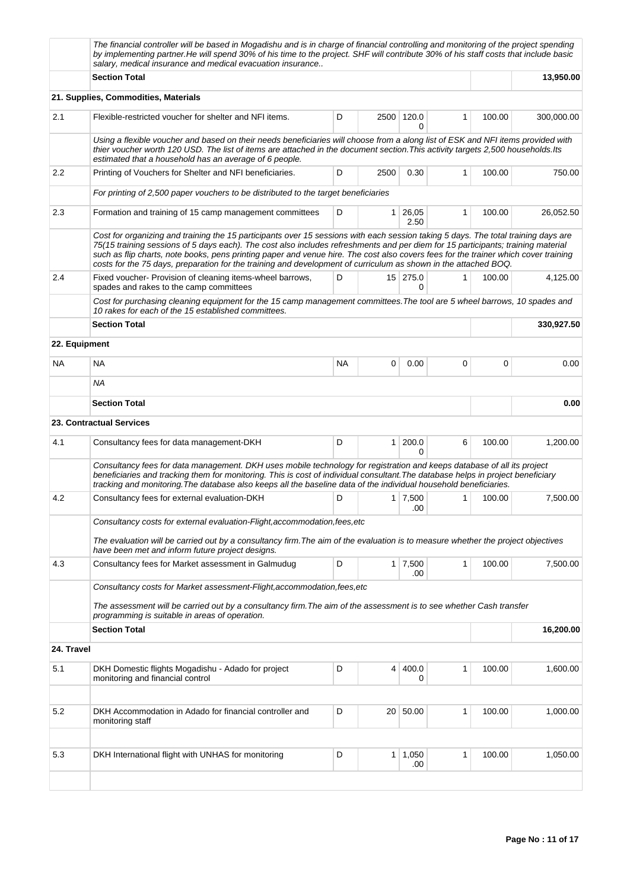|               | The financial controller will be based in Mogadishu and is in charge of financial controlling and monitoring of the project spending<br>by implementing partner. He will spend 30% of his time to the project. SHF will contribute 30% of his staff costs that include basic<br>salary, medical insurance and medical evacuation insurance                                                                                                                                                                                       |           |                |                 |              |        |            |
|---------------|----------------------------------------------------------------------------------------------------------------------------------------------------------------------------------------------------------------------------------------------------------------------------------------------------------------------------------------------------------------------------------------------------------------------------------------------------------------------------------------------------------------------------------|-----------|----------------|-----------------|--------------|--------|------------|
|               | <b>Section Total</b>                                                                                                                                                                                                                                                                                                                                                                                                                                                                                                             |           |                |                 |              |        | 13,950.00  |
|               | 21. Supplies, Commodities, Materials                                                                                                                                                                                                                                                                                                                                                                                                                                                                                             |           |                |                 |              |        |            |
| 2.1           | Flexible-restricted voucher for shelter and NFI items.                                                                                                                                                                                                                                                                                                                                                                                                                                                                           | D         | 2500           | 120.0<br>0      | 1            | 100.00 | 300,000.00 |
|               | Using a flexible voucher and based on their needs beneficiaries will choose from a along list of ESK and NFI items provided with<br>thier voucher worth 120 USD. The list of items are attached in the document section. This activity targets 2,500 households. Its<br>estimated that a household has an average of 6 people.                                                                                                                                                                                                   |           |                |                 |              |        |            |
| 2.2           | Printing of Vouchers for Shelter and NFI beneficiaries.                                                                                                                                                                                                                                                                                                                                                                                                                                                                          | D         | 2500           | 0.30            | 1            | 100.00 | 750.00     |
|               | For printing of 2,500 paper vouchers to be distributed to the target beneficiaries                                                                                                                                                                                                                                                                                                                                                                                                                                               |           |                |                 |              |        |            |
| 2.3           | Formation and training of 15 camp management committees                                                                                                                                                                                                                                                                                                                                                                                                                                                                          | D         | $\mathbf{1}$   | 26,05<br>2.50   | 1            | 100.00 | 26,052.50  |
|               | Cost for organizing and training the 15 participants over 15 sessions with each session taking 5 days. The total training days are<br>75(15 training sessions of 5 days each). The cost also includes refreshments and per diem for 15 participants; training material<br>such as flip charts, note books, pens printing paper and venue hire. The cost also covers fees for the trainer which cover training<br>costs for the 75 days, preparation for the training and development of curriculum as shown in the attached BOQ. |           |                |                 |              |        |            |
| 2.4           | Fixed voucher- Provision of cleaning items-wheel barrows,<br>spades and rakes to the camp committees                                                                                                                                                                                                                                                                                                                                                                                                                             | D         |                | $15$ 275.0<br>0 | 1            | 100.00 | 4,125.00   |
|               | Cost for purchasing cleaning equipment for the 15 camp management committees. The tool are 5 wheel barrows, 10 spades and<br>10 rakes for each of the 15 established committees.                                                                                                                                                                                                                                                                                                                                                 |           |                |                 |              |        |            |
|               | <b>Section Total</b>                                                                                                                                                                                                                                                                                                                                                                                                                                                                                                             |           |                |                 |              |        | 330,927.50 |
| 22. Equipment |                                                                                                                                                                                                                                                                                                                                                                                                                                                                                                                                  |           |                |                 |              |        |            |
| NA.           | <b>NA</b>                                                                                                                                                                                                                                                                                                                                                                                                                                                                                                                        | <b>NA</b> | 0              | 0.00            | 0            | 0      | 0.00       |
|               | ΝA                                                                                                                                                                                                                                                                                                                                                                                                                                                                                                                               |           |                |                 |              |        |            |
|               | <b>Section Total</b>                                                                                                                                                                                                                                                                                                                                                                                                                                                                                                             |           |                |                 |              |        | 0.00       |
|               | 23. Contractual Services                                                                                                                                                                                                                                                                                                                                                                                                                                                                                                         |           |                |                 |              |        |            |
| 4.1           | Consultancy fees for data management-DKH                                                                                                                                                                                                                                                                                                                                                                                                                                                                                         | D         | $\mathbf{1}$   | 200.0<br>0      | 6            | 100.00 | 1,200.00   |
|               | Consultancy fees for data management. DKH uses mobile technology for registration and keeps database of all its project<br>beneficiaries and tracking them for monitoring. This is cost of individual consultant. The database helps in project beneficiary<br>tracking and monitoring. The database also keeps all the baseline data of the individual household beneficiaries.                                                                                                                                                 |           |                |                 |              |        |            |
| 4.2           | Consultancy fees for external evaluation-DKH                                                                                                                                                                                                                                                                                                                                                                                                                                                                                     | D         | 1 <sup>1</sup> | 7,500<br>.00    | 1            | 100.00 | 7,500.00   |
|               | Consultancy costs for external evaluation-Flight, accommodation, fees, etc                                                                                                                                                                                                                                                                                                                                                                                                                                                       |           |                |                 |              |        |            |
|               | The evaluation will be carried out by a consultancy firm. The aim of the evaluation is to measure whether the project objectives<br>have been met and inform future project designs.                                                                                                                                                                                                                                                                                                                                             |           |                |                 |              |        |            |
| 4.3           | Consultancy fees for Market assessment in Galmudug                                                                                                                                                                                                                                                                                                                                                                                                                                                                               | D         | 1 <sup>1</sup> | 7,500<br>.00    | $\mathbf{1}$ | 100.00 | 7,500.00   |
|               | Consultancy costs for Market assessment-Flight, accommodation, fees, etc                                                                                                                                                                                                                                                                                                                                                                                                                                                         |           |                |                 |              |        |            |
|               | The assessment will be carried out by a consultancy firm. The aim of the assessment is to see whether Cash transfer<br>programming is suitable in areas of operation.                                                                                                                                                                                                                                                                                                                                                            |           |                |                 |              |        |            |
|               | <b>Section Total</b>                                                                                                                                                                                                                                                                                                                                                                                                                                                                                                             |           |                |                 |              |        | 16,200.00  |
| 24. Travel    |                                                                                                                                                                                                                                                                                                                                                                                                                                                                                                                                  |           |                |                 |              |        |            |
| 5.1           | DKH Domestic flights Mogadishu - Adado for project<br>monitoring and financial control                                                                                                                                                                                                                                                                                                                                                                                                                                           | D         | 4              | 400.0<br>0      | 1            | 100.00 | 1,600.00   |
|               |                                                                                                                                                                                                                                                                                                                                                                                                                                                                                                                                  |           |                |                 |              |        |            |
| 5.2           | DKH Accommodation in Adado for financial controller and<br>monitoring staff                                                                                                                                                                                                                                                                                                                                                                                                                                                      | D         | $20-1$         | 50.00           | 1            | 100.00 | 1,000.00   |
|               |                                                                                                                                                                                                                                                                                                                                                                                                                                                                                                                                  |           |                |                 |              |        |            |
| 5.3           | DKH International flight with UNHAS for monitoring                                                                                                                                                                                                                                                                                                                                                                                                                                                                               | D         | $\mathbf{1}$   | 1,050<br>.00    | 1            | 100.00 | 1,050.00   |
|               |                                                                                                                                                                                                                                                                                                                                                                                                                                                                                                                                  |           |                |                 |              |        |            |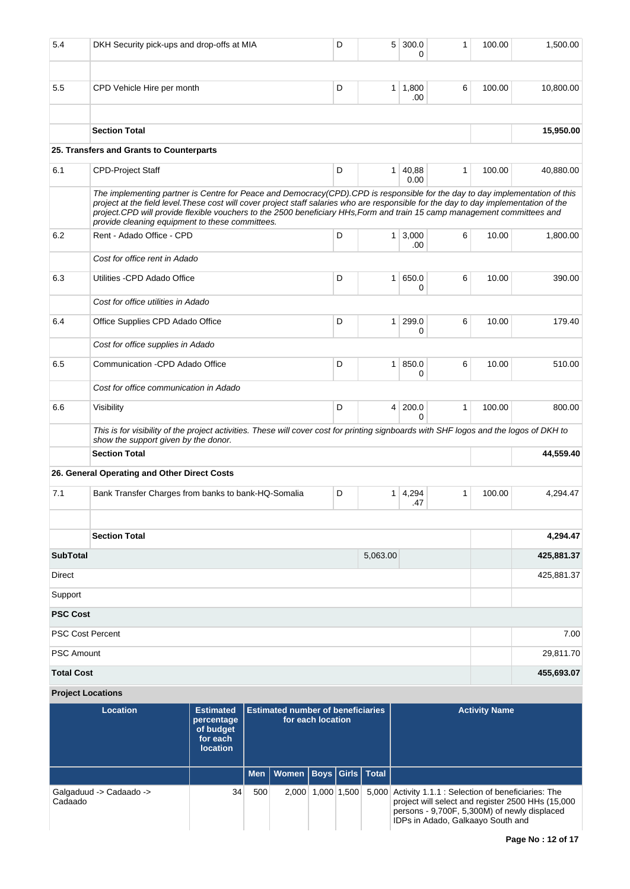| 5.4                         | DKH Security pick-ups and drop-offs at MIA                                                                                                                                                                                                                                                                                                                                                                                                           |                                             |                                                               | D | 5              | 300.0<br>0                     | 1            | 100.00               | 1,500.00   |
|-----------------------------|------------------------------------------------------------------------------------------------------------------------------------------------------------------------------------------------------------------------------------------------------------------------------------------------------------------------------------------------------------------------------------------------------------------------------------------------------|---------------------------------------------|---------------------------------------------------------------|---|----------------|--------------------------------|--------------|----------------------|------------|
| 5.5                         | CPD Vehicle Hire per month                                                                                                                                                                                                                                                                                                                                                                                                                           |                                             |                                                               | D |                | $1 \mid 1,800$<br>.00          | 6            | 100.00               | 10,800.00  |
|                             | <b>Section Total</b>                                                                                                                                                                                                                                                                                                                                                                                                                                 |                                             |                                                               |   |                |                                |              |                      | 15,950.00  |
|                             | 25. Transfers and Grants to Counterparts                                                                                                                                                                                                                                                                                                                                                                                                             |                                             |                                                               |   |                |                                |              |                      |            |
| 6.1                         | <b>CPD-Project Staff</b>                                                                                                                                                                                                                                                                                                                                                                                                                             |                                             |                                                               | D |                | 1 40,88<br>0.00                | $\mathbf{1}$ | 100.00               | 40,880.00  |
|                             | The implementing partner is Centre for Peace and Democracy(CPD).CPD is responsible for the day to day implementation of this<br>project at the field level. These cost will cover project staff salaries who are responsible for the day to day implementation of the<br>project.CPD will provide flexible vouchers to the 2500 beneficiary HHs, Form and train 15 camp management committees and<br>provide cleaning equipment to these committees. |                                             |                                                               |   |                |                                |              |                      |            |
| 6.2                         | Rent - Adado Office - CPD                                                                                                                                                                                                                                                                                                                                                                                                                            |                                             |                                                               | D |                | 3,000<br>1 <sup>1</sup><br>.00 | 6            | 10.00                | 1,800.00   |
|                             | Cost for office rent in Adado                                                                                                                                                                                                                                                                                                                                                                                                                        |                                             |                                                               |   |                |                                |              |                      |            |
| 6.3                         | Utilities - CPD Adado Office                                                                                                                                                                                                                                                                                                                                                                                                                         |                                             |                                                               | D |                | 650.0<br>1 <sup>1</sup><br>0   | 6            | 10.00                | 390.00     |
|                             | Cost for office utilities in Adado                                                                                                                                                                                                                                                                                                                                                                                                                   |                                             |                                                               |   |                |                                |              |                      |            |
| 6.4                         | Office Supplies CPD Adado Office                                                                                                                                                                                                                                                                                                                                                                                                                     |                                             |                                                               | D | 1              | 299.0<br>0                     | 6            | 10.00                | 179.40     |
|                             | Cost for office supplies in Adado                                                                                                                                                                                                                                                                                                                                                                                                                    |                                             |                                                               |   |                |                                |              |                      |            |
| 6.5                         | Communication -CPD Adado Office                                                                                                                                                                                                                                                                                                                                                                                                                      |                                             |                                                               | D | 1 <sup>1</sup> | 850.0<br>0                     | 6            | 10.00                | 510.00     |
|                             | Cost for office communication in Adado                                                                                                                                                                                                                                                                                                                                                                                                               |                                             |                                                               |   |                |                                |              |                      |            |
| 6.6                         | Visibility                                                                                                                                                                                                                                                                                                                                                                                                                                           |                                             |                                                               | D |                | 200.0<br>4 <sup>1</sup><br>0   | $\mathbf{1}$ | 100.00               | 800.00     |
|                             | This is for visibility of the project activities. These will cover cost for printing signboards with SHF logos and the logos of DKH to<br>show the support given by the donor.                                                                                                                                                                                                                                                                       |                                             |                                                               |   |                |                                |              |                      |            |
|                             | <b>Section Total</b>                                                                                                                                                                                                                                                                                                                                                                                                                                 |                                             |                                                               |   |                |                                |              |                      | 44,559.40  |
|                             | 26. General Operating and Other Direct Costs                                                                                                                                                                                                                                                                                                                                                                                                         |                                             |                                                               |   |                |                                |              |                      |            |
| 7.1                         | Bank Transfer Charges from banks to bank-HQ-Somalia                                                                                                                                                                                                                                                                                                                                                                                                  |                                             |                                                               | D |                | $1 \mid 4,294$<br>.47          | 1            | 100.00               | 4,294.47   |
|                             |                                                                                                                                                                                                                                                                                                                                                                                                                                                      |                                             |                                                               |   |                |                                |              |                      |            |
|                             | <b>Section Total</b>                                                                                                                                                                                                                                                                                                                                                                                                                                 |                                             |                                                               |   |                |                                |              |                      | 4.294.47   |
| <b>SubTotal</b><br>5,063.00 |                                                                                                                                                                                                                                                                                                                                                                                                                                                      |                                             |                                                               |   |                |                                |              |                      | 425,881.37 |
| <b>Direct</b>               |                                                                                                                                                                                                                                                                                                                                                                                                                                                      |                                             |                                                               |   |                |                                |              |                      | 425,881.37 |
| Support                     |                                                                                                                                                                                                                                                                                                                                                                                                                                                      |                                             |                                                               |   |                |                                |              |                      |            |
| <b>PSC Cost</b>             |                                                                                                                                                                                                                                                                                                                                                                                                                                                      |                                             |                                                               |   |                |                                |              |                      |            |
|                             | <b>PSC Cost Percent</b>                                                                                                                                                                                                                                                                                                                                                                                                                              |                                             |                                                               |   |                |                                |              |                      | 7.00       |
| <b>PSC Amount</b>           |                                                                                                                                                                                                                                                                                                                                                                                                                                                      |                                             |                                                               |   |                |                                |              |                      | 29,811.70  |
| <b>Total Cost</b>           |                                                                                                                                                                                                                                                                                                                                                                                                                                                      |                                             |                                                               |   |                |                                |              |                      | 455,693.07 |
|                             | <b>Project Locations</b>                                                                                                                                                                                                                                                                                                                                                                                                                             |                                             |                                                               |   |                |                                |              |                      |            |
|                             | <b>Location</b>                                                                                                                                                                                                                                                                                                                                                                                                                                      | <b>Estimated</b><br>percentage<br>of budget | <b>Estimated number of beneficiaries</b><br>for each location |   |                |                                |              | <b>Activity Name</b> |            |

| Location                           | csumated<br>percentage<br>of budget<br>for each<br><b>location</b> | <b>ESUMATE NUMBER OF DEFICITIVES</b><br>for each location |                                    |  |             | <b>ACTIVITY MATTLE</b>                                                                                                                                                                           |
|------------------------------------|--------------------------------------------------------------------|-----------------------------------------------------------|------------------------------------|--|-------------|--------------------------------------------------------------------------------------------------------------------------------------------------------------------------------------------------|
|                                    |                                                                    |                                                           | Men   Women   Boys   Girls   Total |  |             |                                                                                                                                                                                                  |
| Galgaduud -> Cadaado -><br>Cadaado | 34                                                                 | 500                                                       | 2.000                              |  | 1.000 1.500 | 5,000 Activity 1.1.1 : Selection of beneficiaries: The<br>project will select and register 2500 HHs (15,000<br>persons - 9,700F, 5,300M) of newly displaced<br>IDPs in Adado, Galkaayo South and |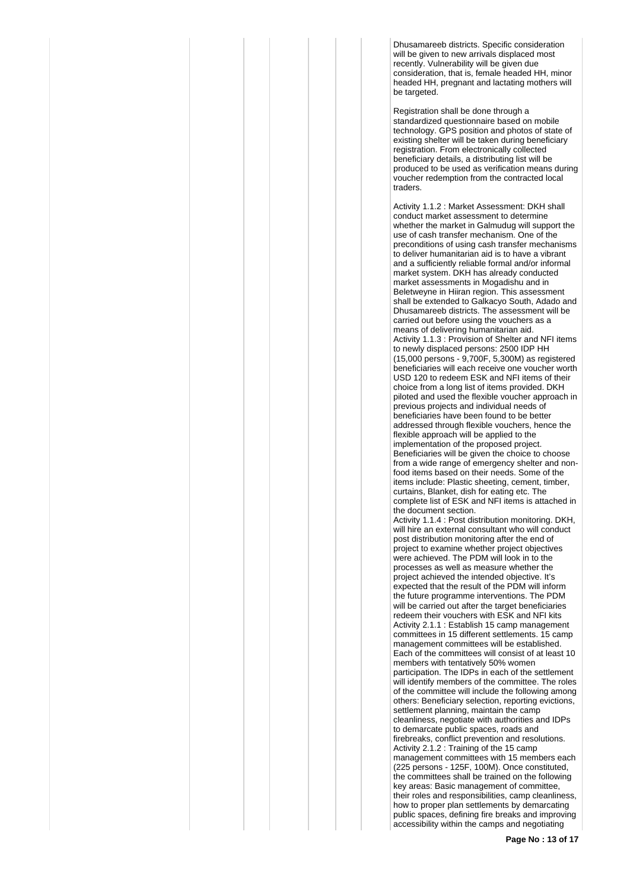Dhusamareeb districts. Specific consideration will be given to new arrivals displaced most recently. Vulnerability will be given due consideration, that is, female headed HH, minor headed HH, pregnant and lactating mothers will be targeted.

Registration shall be done through a standardized questionnaire based on mobile technology. GPS position and photos of state of existing shelter will be taken during beneficiary registration. From electronically collected beneficiary details, a distributing list will be produced to be used as verification means during voucher redemption from the contracted local traders.

Activity 1.1.2 : Market Assessment: DKH shall conduct market assessment to determine whether the market in Galmudug will support the use of cash transfer mechanism. One of the preconditions of using cash transfer mechanisms to deliver humanitarian aid is to have a vibrant and a sufficiently reliable formal and/or informal market system. DKH has already conducted market assessments in Mogadishu and in Beletweyne in Hiiran region. This assessment shall be extended to Galkacyo South, Adado and Dhusamareeb districts. The assessment will be carried out before using the vouchers as a means of delivering humanitarian aid. Activity 1.1.3 : Provision of Shelter and NFI items to newly displaced persons: 2500 IDP HH (15,000 persons - 9,700F, 5,300M) as registered beneficiaries will each receive one voucher worth USD 120 to redeem ESK and NFI items of their choice from a long list of items provided. DKH piloted and used the flexible voucher approach in previous projects and individual needs of beneficiaries have been found to be better addressed through flexible vouchers, hence the flexible approach will be applied to the implementation of the proposed project. Beneficiaries will be given the choice to choose from a wide range of emergency shelter and nonfood items based on their needs. Some of the items include: Plastic sheeting, cement, timber, curtains, Blanket, dish for eating etc. The complete list of ESK and NFI items is attached in the document section. Activity 1.1.4 : Post distribution monitoring. DKH, will hire an external consultant who will conduct post distribution monitoring after the end of project to examine whether project objectives were achieved. The PDM will look in to the processes as well as measure whether the project achieved the intended objective. It's expected that the result of the PDM will inform the future programme interventions. The PDM will be carried out after the target beneficiaries redeem their vouchers with ESK and NFI kits Activity 2.1.1 : Establish 15 camp management committees in 15 different settlements. 15 camp management committees will be established. Each of the committees will consist of at least 10 members with tentatively 50% women participation. The IDPs in each of the settlement will identify members of the committee. The roles of the committee will include the following among others: Beneficiary selection, reporting evictions, settlement planning, maintain the camp cleanliness, negotiate with authorities and IDPs to demarcate public spaces, roads and firebreaks, conflict prevention and resolutions. Activity 2.1.2 : Training of the 15 camp management committees with 15 members each (225 persons - 125F, 100M). Once constituted, the committees shall be trained on the following key areas: Basic management of committee, their roles and responsibilities, camp cleanliness, how to proper plan settlements by demarcating public spaces, defining fire breaks and improving accessibility within the camps and negotiating

**Page No : 13 of 17**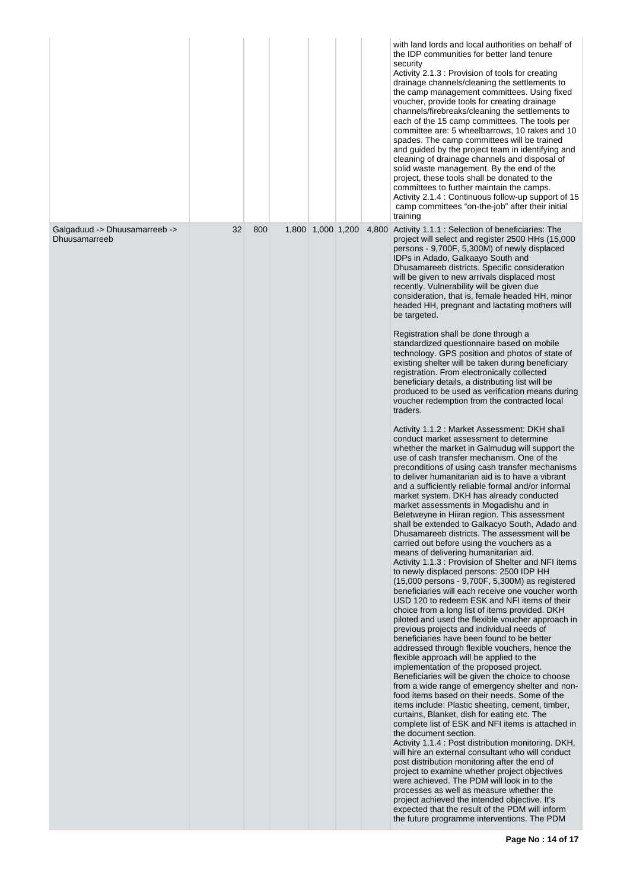|                                                |    |     |                   |  | with land lords and local authorities on behalf of<br>the IDP communities for better land tenure<br>security<br>Activity 2.1.3 : Provision of tools for creating<br>drainage channels/cleaning the settlements to<br>the camp management committees. Using fixed<br>voucher, provide tools for creating drainage<br>channels/firebreaks/cleaning the settlements to<br>each of the 15 camp committees. The tools per<br>committee are: 5 wheelbarrows, 10 rakes and 10<br>spades. The camp committees will be trained<br>and guided by the project team in identifying and<br>cleaning of drainage channels and disposal of<br>solid waste management. By the end of the<br>project, these tools shall be donated to the<br>committees to further maintain the camps.<br>Activity 2.1.4 : Continuous follow-up support of 15<br>camp committees "on-the-job" after their initial<br>training                                                                                                                                                                                                                                                                                                                                                                                                                                                                                                                                                                                                                                                                                                                                                                                                                                                                                                                                                                                                                                                                                                                                                                                                                                                                                                                                                                                                                                                                                                                                                                                                                                                                                                                                                                                                                                                                                                                                                                                                                                                                                          |
|------------------------------------------------|----|-----|-------------------|--|---------------------------------------------------------------------------------------------------------------------------------------------------------------------------------------------------------------------------------------------------------------------------------------------------------------------------------------------------------------------------------------------------------------------------------------------------------------------------------------------------------------------------------------------------------------------------------------------------------------------------------------------------------------------------------------------------------------------------------------------------------------------------------------------------------------------------------------------------------------------------------------------------------------------------------------------------------------------------------------------------------------------------------------------------------------------------------------------------------------------------------------------------------------------------------------------------------------------------------------------------------------------------------------------------------------------------------------------------------------------------------------------------------------------------------------------------------------------------------------------------------------------------------------------------------------------------------------------------------------------------------------------------------------------------------------------------------------------------------------------------------------------------------------------------------------------------------------------------------------------------------------------------------------------------------------------------------------------------------------------------------------------------------------------------------------------------------------------------------------------------------------------------------------------------------------------------------------------------------------------------------------------------------------------------------------------------------------------------------------------------------------------------------------------------------------------------------------------------------------------------------------------------------------------------------------------------------------------------------------------------------------------------------------------------------------------------------------------------------------------------------------------------------------------------------------------------------------------------------------------------------------------------------------------------------------------------------------------------------------|
| Galgaduud -> Dhuusamarreeb -><br>Dhuusamarreeb | 32 | 800 | 1,800 1,000 1,200 |  | 4,800 Activity 1.1.1 : Selection of beneficiaries: The<br>project will select and register 2500 HHs (15,000<br>persons - 9,700F, 5,300M) of newly displaced<br>IDPs in Adado, Galkaayo South and<br>Dhusamareeb districts. Specific consideration<br>will be given to new arrivals displaced most<br>recently. Vulnerability will be given due<br>consideration, that is, female headed HH, minor<br>headed HH, pregnant and lactating mothers will<br>be targeted.<br>Registration shall be done through a<br>standardized questionnaire based on mobile<br>technology. GPS position and photos of state of<br>existing shelter will be taken during beneficiary<br>registration. From electronically collected<br>beneficiary details, a distributing list will be<br>produced to be used as verification means during<br>voucher redemption from the contracted local<br>traders.<br>Activity 1.1.2 : Market Assessment: DKH shall<br>conduct market assessment to determine<br>whether the market in Galmuduq will support the<br>use of cash transfer mechanism. One of the<br>preconditions of using cash transfer mechanisms<br>to deliver humanitarian aid is to have a vibrant<br>and a sufficiently reliable formal and/or informal<br>market system. DKH has already conducted<br>market assessments in Mogadishu and in<br>Beletweyne in Hiiran region. This assessment<br>shall be extended to Galkacyo South, Adado and<br>Dhusamareeb districts. The assessment will be<br>carried out before using the vouchers as a<br>means of delivering humanitarian aid.<br>Activity 1.1.3 : Provision of Shelter and NFI items<br>to newly displaced persons: 2500 IDP HH<br>(15,000 persons - 9,700F, 5,300M) as registered<br>beneficiaries will each receive one voucher worth<br>USD 120 to redeem ESK and NFI items of their<br>choice from a long list of items provided. DKH<br>piloted and used the flexible voucher approach in<br>previous projects and individual needs of<br>beneficiaries have been found to be better<br>addressed through flexible vouchers, hence the<br>flexible approach will be applied to the<br>implementation of the proposed project.<br>Beneficiaries will be given the choice to choose<br>from a wide range of emergency shelter and non-<br>food items based on their needs. Some of the<br>items include: Plastic sheeting, cement, timber,<br>curtains, Blanket, dish for eating etc. The<br>complete list of ESK and NFI items is attached in<br>the document section.<br>Activity 1.1.4 : Post distribution monitoring. DKH,<br>will hire an external consultant who will conduct<br>post distribution monitoring after the end of<br>project to examine whether project objectives<br>were achieved. The PDM will look in to the<br>processes as well as measure whether the<br>project achieved the intended objective. It's<br>expected that the result of the PDM will inform<br>the future programme interventions. The PDM |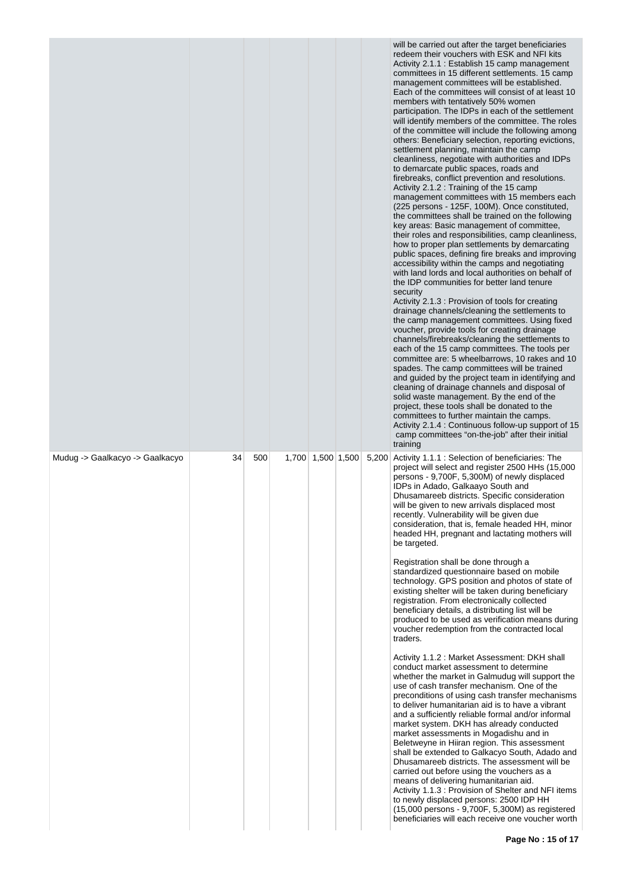|                                 |    |     |                   |  | will be carried out after the target beneficiaries<br>redeem their vouchers with ESK and NFI kits<br>Activity 2.1.1 : Establish 15 camp management<br>committees in 15 different settlements. 15 camp<br>management committees will be established.<br>Each of the committees will consist of at least 10<br>members with tentatively 50% women<br>participation. The IDPs in each of the settlement<br>will identify members of the committee. The roles<br>of the committee will include the following among<br>others: Beneficiary selection, reporting evictions,<br>settlement planning, maintain the camp<br>cleanliness, negotiate with authorities and IDPs<br>to demarcate public spaces, roads and<br>firebreaks, conflict prevention and resolutions.<br>Activity 2.1.2 : Training of the 15 camp<br>management committees with 15 members each<br>(225 persons - 125F, 100M). Once constituted,<br>the committees shall be trained on the following<br>key areas: Basic management of committee,<br>their roles and responsibilities, camp cleanliness,<br>how to proper plan settlements by demarcating<br>public spaces, defining fire breaks and improving<br>accessibility within the camps and negotiating<br>with land lords and local authorities on behalf of<br>the IDP communities for better land tenure<br>security<br>Activity 2.1.3 : Provision of tools for creating<br>drainage channels/cleaning the settlements to<br>the camp management committees. Using fixed<br>voucher, provide tools for creating drainage<br>channels/firebreaks/cleaning the settlements to<br>each of the 15 camp committees. The tools per<br>committee are: 5 wheelbarrows, 10 rakes and 10<br>spades. The camp committees will be trained<br>and guided by the project team in identifying and<br>cleaning of drainage channels and disposal of<br>solid waste management. By the end of the<br>project, these tools shall be donated to the<br>committees to further maintain the camps.<br>Activity 2.1.4 : Continuous follow-up support of 15<br>camp committees "on-the-job" after their initial<br>training |
|---------------------------------|----|-----|-------------------|--|-----------------------------------------------------------------------------------------------------------------------------------------------------------------------------------------------------------------------------------------------------------------------------------------------------------------------------------------------------------------------------------------------------------------------------------------------------------------------------------------------------------------------------------------------------------------------------------------------------------------------------------------------------------------------------------------------------------------------------------------------------------------------------------------------------------------------------------------------------------------------------------------------------------------------------------------------------------------------------------------------------------------------------------------------------------------------------------------------------------------------------------------------------------------------------------------------------------------------------------------------------------------------------------------------------------------------------------------------------------------------------------------------------------------------------------------------------------------------------------------------------------------------------------------------------------------------------------------------------------------------------------------------------------------------------------------------------------------------------------------------------------------------------------------------------------------------------------------------------------------------------------------------------------------------------------------------------------------------------------------------------------------------------------------------------------------------------------------------------------------------------|
| Mudug -> Gaalkacyo -> Gaalkacyo | 34 | 500 | 1,700 1,500 1,500 |  | 5,200 Activity 1.1.1 : Selection of beneficiaries: The<br>project will select and register 2500 HHs (15,000<br>persons - 9,700F, 5,300M) of newly displaced<br>IDPs in Adado, Galkaayo South and<br>Dhusamareeb districts. Specific consideration<br>will be given to new arrivals displaced most<br>recently. Vulnerability will be given due<br>consideration, that is, female headed HH, minor<br>headed HH, pregnant and lactating mothers will<br>be targeted.                                                                                                                                                                                                                                                                                                                                                                                                                                                                                                                                                                                                                                                                                                                                                                                                                                                                                                                                                                                                                                                                                                                                                                                                                                                                                                                                                                                                                                                                                                                                                                                                                                                         |
|                                 |    |     |                   |  | Registration shall be done through a<br>standardized questionnaire based on mobile<br>technology. GPS position and photos of state of<br>existing shelter will be taken during beneficiary<br>registration. From electronically collected<br>beneficiary details, a distributing list will be<br>produced to be used as verification means during<br>voucher redemption from the contracted local<br>traders.                                                                                                                                                                                                                                                                                                                                                                                                                                                                                                                                                                                                                                                                                                                                                                                                                                                                                                                                                                                                                                                                                                                                                                                                                                                                                                                                                                                                                                                                                                                                                                                                                                                                                                               |
|                                 |    |     |                   |  | Activity 1.1.2 : Market Assessment: DKH shall<br>conduct market assessment to determine<br>whether the market in Galmudug will support the<br>use of cash transfer mechanism. One of the<br>preconditions of using cash transfer mechanisms<br>to deliver humanitarian aid is to have a vibrant<br>and a sufficiently reliable formal and/or informal<br>market system. DKH has already conducted<br>market assessments in Mogadishu and in<br>Beletweyne in Hiiran region. This assessment<br>shall be extended to Galkacyo South, Adado and<br>Dhusamareeb districts. The assessment will be<br>carried out before using the vouchers as a<br>means of delivering humanitarian aid.<br>Activity 1.1.3 : Provision of Shelter and NFI items<br>to newly displaced persons: 2500 IDP HH<br>(15,000 persons - 9,700F, 5,300M) as registered<br>beneficiaries will each receive one voucher worth                                                                                                                                                                                                                                                                                                                                                                                                                                                                                                                                                                                                                                                                                                                                                                                                                                                                                                                                                                                                                                                                                                                                                                                                                             |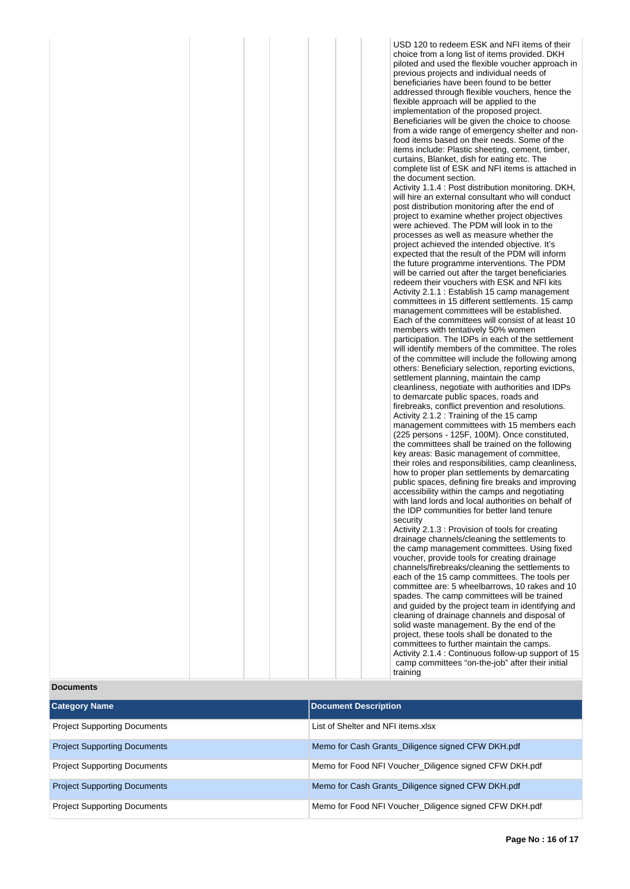| USD 120 to redeem ESK and NFI items of their        |
|-----------------------------------------------------|
| choice from a long list of items provided. DKH      |
| piloted and used the flexible voucher approach in   |
| previous projects and individual needs of           |
|                                                     |
| beneficiaries have been found to be better          |
| addressed through flexible vouchers, hence the      |
| flexible approach will be applied to the            |
| implementation of the proposed project.             |
|                                                     |
| Beneficiaries will be given the choice to choose    |
| from a wide range of emergency shelter and non-     |
| food items based on their needs. Some of the        |
| items include: Plastic sheeting, cement, timber,    |
|                                                     |
| curtains, Blanket, dish for eating etc. The         |
| complete list of ESK and NFI items is attached in   |
| the document section.                               |
| Activity 1.1.4 : Post distribution monitoring. DKH, |
| will hire an external consultant who will conduct   |
|                                                     |
| post distribution monitoring after the end of       |
| project to examine whether project objectives       |
| were achieved. The PDM will look in to the          |
| processes as well as measure whether the            |
|                                                     |
| project achieved the intended objective. It's       |
| expected that the result of the PDM will inform     |
| the future programme interventions. The PDM         |
| will be carried out after the target beneficiaries  |
| redeem their vouchers with ESK and NFI kits         |
|                                                     |
| Activity 2.1.1 : Establish 15 camp management       |
| committees in 15 different settlements. 15 camp     |
| management committees will be established.          |
| Each of the committees will consist of at least 10  |
| members with tentatively 50% women                  |
|                                                     |
| participation. The IDPs in each of the settlement   |
| will identify members of the committee. The roles   |
| of the committee will include the following among   |
| others: Beneficiary selection, reporting evictions, |
| settlement planning, maintain the camp              |
|                                                     |
| cleanliness, negotiate with authorities and IDPs    |
| to demarcate public spaces, roads and               |
| firebreaks, conflict prevention and resolutions.    |
| Activity 2.1.2 : Training of the 15 camp            |
| management committees with 15 members each          |
|                                                     |
| (225 persons - 125F, 100M). Once constituted,       |
| the committees shall be trained on the following    |
| key areas: Basic management of committee,           |
| their roles and responsibilities, camp cleanliness, |
| how to proper plan settlements by demarcating       |
| public spaces, defining fire breaks and improving   |
|                                                     |
| accessibility within the camps and negotiating      |
| with land lords and local authorities on behalf of  |
| the IDP communities for better land tenure          |
| security                                            |
| Activity 2.1.3 : Provision of tools for creating    |
| drainage channels/cleaning the settlements to       |
|                                                     |
| the camp management committees. Using fixed         |
| voucher, provide tools for creating drainage        |
| channels/firebreaks/cleaning the settlements to     |
| each of the 15 camp committees. The tools per       |
| committee are: 5 wheelbarrows, 10 rakes and 10      |
|                                                     |
| spades. The camp committees will be trained         |
| and guided by the project team in identifying and   |
| cleaning of drainage channels and disposal of       |
| solid waste management. By the end of the           |
| project, these tools shall be donated to the        |
|                                                     |

committees to further maintain the camps. Activity 2.1.4 : Continuous follow-up support of 15 camp committees "on-the-job" after their initial

training

**Documents**

| <b>Category Name</b>                | Document Description                                   |
|-------------------------------------|--------------------------------------------------------|
|                                     |                                                        |
| <b>Project Supporting Documents</b> | List of Shelter and NFI items.xlsx                     |
| <b>Project Supporting Documents</b> | Memo for Cash Grants_Diligence signed CFW DKH.pdf      |
| <b>Project Supporting Documents</b> | Memo for Food NFI Voucher Diligence signed CFW DKH.pdf |
| <b>Project Supporting Documents</b> | Memo for Cash Grants_Diligence signed CFW DKH.pdf      |
| <b>Project Supporting Documents</b> | Memo for Food NFI Voucher_Diligence signed CFW DKH.pdf |